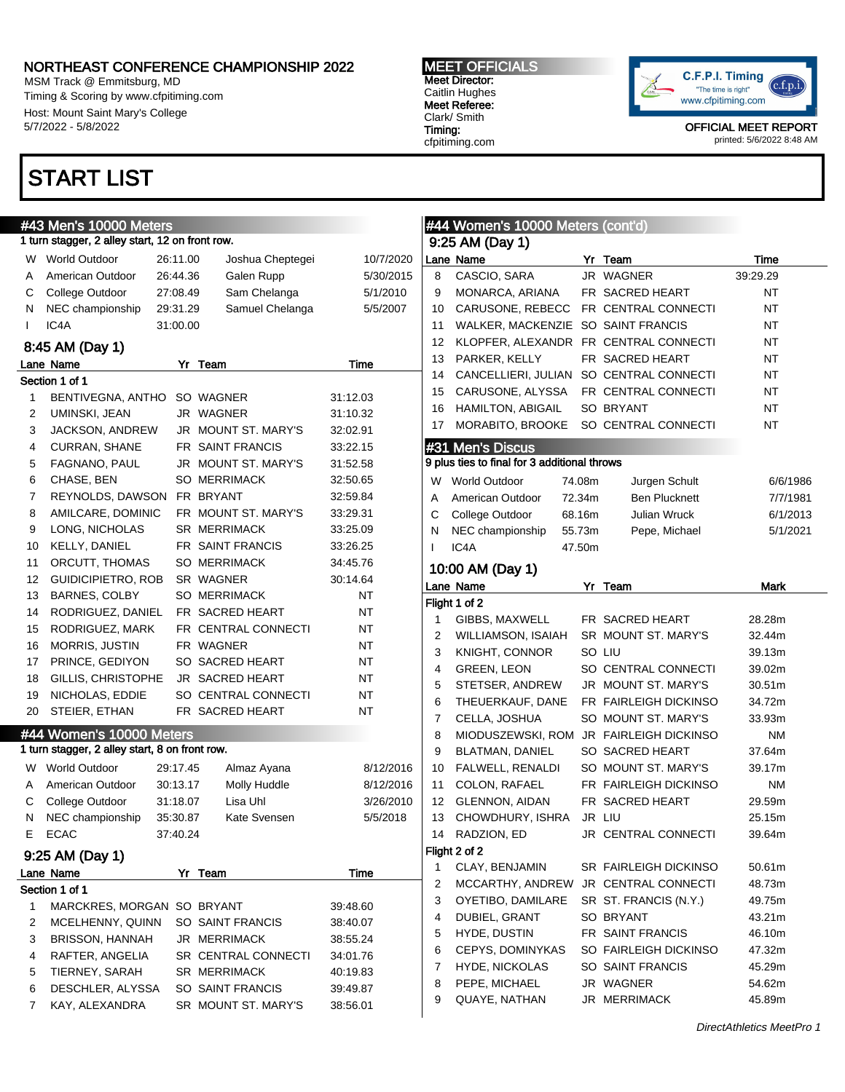MSM Track @ Emmitsburg, MD Timing & Scoring by www.cfpitiming.com Host: Mount Saint Mary's College 5/7/2022 - 5/8/2022

## START LIST

#### #43 Men's 10000 Meters 1 turn stagger, 2 alley start, 12 on front row. W World Outdoor 26:11.00 Joshua Cheptegei 10/7/2020 A American Outdoor 26:44.36 Galen Rupp 5/30/2015 C College Outdoor 27:08.49 Sam Chelanga 5/1/2010 N NEC championship 29:31.29 Samuel Chelanga 5/5/2007 I IC4A 31:00.00 8:45 AM (Day 1) Lane Name Yr Team Time Section 1 of 1 1 BENTIVEGNA, ANTHO SO WAGNER 31:12.03 2 UMINSKI, JEAN JR WAGNER 31:10.32 3 JACKSON, ANDREW JR MOUNT ST. MARY'S 32:02.91 4 CURRAN, SHANE FR SAINT FRANCIS 33:22.15 5 FAGNANO, PAUL JR MOUNT ST. MARY'S 31:52.58 6 CHASE, BEN SO MERRIMACK 32:50.65 7 REYNOLDS, DAWSON FR BRYANT 32:59.84 8 AMILCARE, DOMINIC FR MOUNT ST. MARY'S 33:29.31 9 LONG, NICHOLAS SR MERRIMACK 33:25.09 10 KELLY, DANIEL FR SAINT FRANCIS 33:26.25 11 ORCUTT, THOMAS SO MERRIMACK 34:45.76 12 GUIDICIPIETRO, ROB SR WAGNER 30:14.64 13 BARNES, COLBY SO MERRIMACK NT 14 RODRIGUEZ, DANIEL FR SACRED HEART NT 15 RODRIGUEZ, MARK FR CENTRAL CONNECTI NT 16 MORRIS, JUSTIN FR WAGNER NT 17 PRINCE, GEDIYON SO SACRED HEART NT 18 GILLIS, CHRISTOPHE JR SACRED HEART NT 19 NICHOLAS, EDDIE SO CENTRAL CONNECTI NT 20 STEIER, ETHAN FR SACRED HEART NT #44 Women's 10000 Meters 1 turn stagger, 2 alley start, 8 on front row. W World Outdoor 29:17.45 Almaz Ayana 8/12/2016 A American Outdoor 30:13.17 Molly Huddle 8/12/2016 C College Outdoor 31:18.07 Lisa Uhl 3/26/2010 N NEC championship 35:30.87 Kate Svensen 5/5/2018 E ECAC 37:40.24 9:25 AM (Day 1) Lane Name **Time** Yr Team **Time** Section 1 of 1 1 MARCKRES, MORGAN SO BRYANT 39:48.60 2 MCELHENNY, QUINN SO SAINT FRANCIS 38:40.07 3 BRISSON, HANNAH JR MERRIMACK 38:55.24 4 RAFTER, ANGELIA SR CENTRAL CONNECTI 34:01.76

5 TIERNEY, SARAH SR MERRIMACK 40:19.83 6 DESCHLER, ALYSSA SO SAINT FRANCIS 39:49.87 7 KAY, ALEXANDRA SR MOUNT ST. MARY'S 38:56.01 MEET OFFICIALS Meet Director: Caitlin Hughes Meet Referee: Clark/ Smith Timing: cfpitiming.com



OFFICIAL MEET REPORT printed: 5/6/2022 8:48 AM

#### #44 Women's 10000 Meters (cont'd) 9:25 AM (Day 1) Lane Name Yr Team Time 8 CASCIO, SARA JR WAGNER 39:29.29 9 MONARCA, ARIANA FR SACRED HEART NT 10 CARUSONE, REBECC FR CENTRAL CONNECTI NT 11 WALKER, MACKENZIE SO SAINT FRANCIS NT 12 KLOPFER, ALEXANDR FR CENTRAL CONNECTI NT 13 PARKER, KELLY FR SACRED HEART NT 14 CANCELLIERI, JULIAN SO CENTRAL CONNECTI NT 15 CARUSONE, ALYSSA FR CENTRAL CONNECTI NT 16 HAMILTON, ABIGAIL SO BRYANT NT 17 MORABITO, BROOKE SO CENTRAL CONNECTI NT #31 Men's Discus 9 plus ties to final for 3 additional throws W World Outdoor 74.08m Jurgen Schult 6/6/1986 A American Outdoor 72.34m Ben Plucknett 7/7/1981 C College Outdoor 68.16m Julian Wruck 6/1/2013 N NEC championship 55.73m Pepe, Michael 5/1/2021 I IC4A 47.50m 10:00 AM (Day 1) Lane Name **Name** Yr Team **Mark** Flight 1 of 2 1 GIBBS, MAXWELL FR SACRED HEART 28.28m 2 WILLIAMSON, ISAIAH SR MOUNT ST. MARY'S 32.44m 3 KNIGHT, CONNOR SO LIU 39.13m 4 GREEN, LEON SO CENTRAL CONNECTI 39.02m 5 STETSER, ANDREW JR MOUNT ST. MARY'S 30.51m 6 THEUERKAUF, DANE FR FAIRLEIGH DICKINSO 34.72m 7 CELLA, JOSHUA SO MOUNT ST. MARY'S 33.93m 8 MIODUSZEWSKI, ROM JR FAIRLEIGH DICKINSO NM 9 BLATMAN, DANIEL SO SACRED HEART 37.64m 10 FALWELL, RENALDI SO MOUNT ST. MARY'S 39.17m 11 COLON, RAFAEL FR FAIRLEIGH DICKINSO NM 12 GLENNON, AIDAN FR SACRED HEART 29.59m 13 CHOWDHURY, ISHRA JR LIU 25.15m 14 RADZION, ED JR CENTRAL CONNECTI 39.64m Flight 2 of 2 1 CLAY, BENJAMIN SR FAIRLEIGH DICKINSO 50.61m 2 MCCARTHY, ANDREW JR CENTRAL CONNECTI 48.73m 3 OYETIBO, DAMILARE SR ST. FRANCIS (N.Y.) 49.75m 4 DUBIEL, GRANT SO BRYANT 43.21m 5 HYDE, DUSTIN FR SAINT FRANCIS 46.10m 6 CEPYS, DOMINYKAS SO FAIRLEIGH DICKINSO 47.32m 7 HYDE, NICKOLAS SO SAINT FRANCIS 45.29m

8 PEPE, MICHAEL JR WAGNER 54.62m 9 QUAYE, NATHAN JR MERRIMACK 45.89m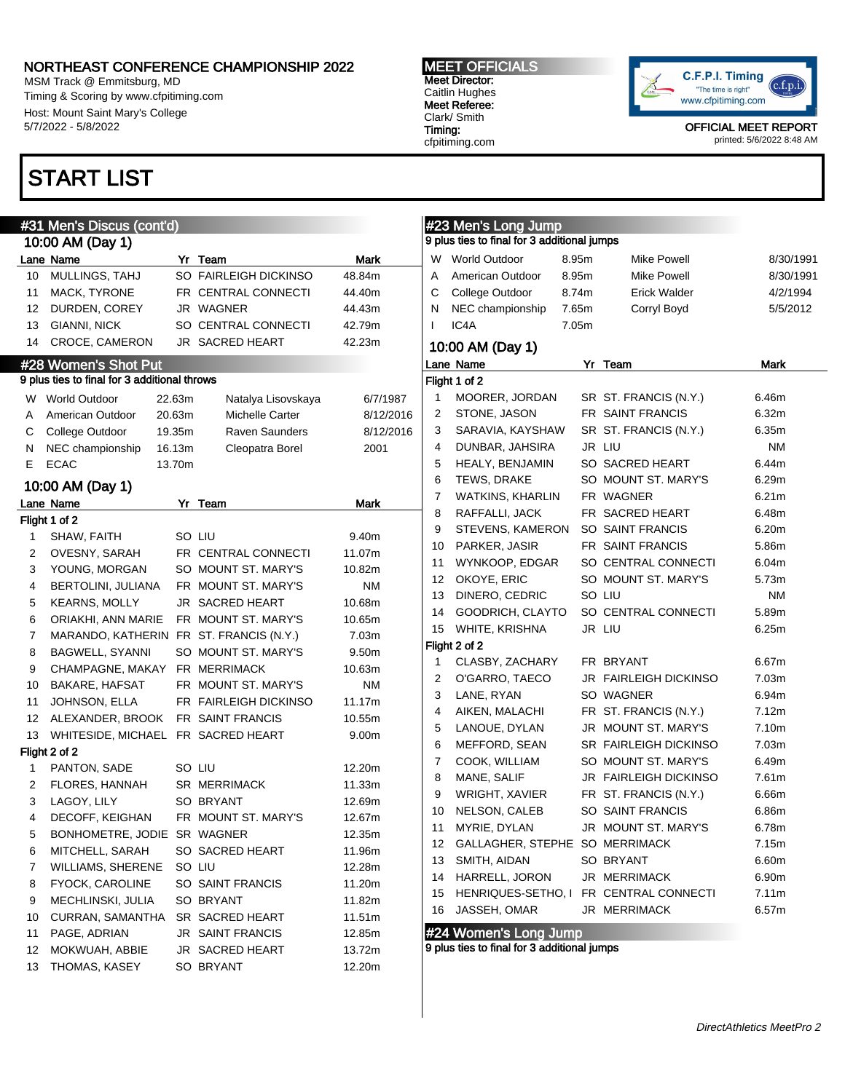1 PANTON, SADE SO LIU 12.20m 2 FLORES, HANNAH SR MERRIMACK 11.33m 3 LAGOY, LILY SO BRYANT 12.69m 4 DECOFF, KEIGHAN FR MOUNT ST. MARY'S 12.67m 5 BONHOMETRE, JODIE SR WAGNER 12.35m 6 MITCHELL, SARAH SO SACRED HEART 11.96m 7 WILLIAMS, SHERENE SO LIU 12.28m 8 FYOCK, CAROLINE SO SAINT FRANCIS 11.20m 9 MECHLINSKI, JULIA SO BRYANT 11.82m 10 CURRAN, SAMANTHA SR SACRED HEART 11.51m 11 PAGE, ADRIAN JR SAINT FRANCIS 12.85m 12 MOKWUAH, ABBIE JR SACRED HEART 13.72m 13 THOMAS, KASEY SO BRYANT 12.20m

MSM Track @ Emmitsburg, MD Timing & Scoring by www.cfpitiming.com Host: Mount Saint Mary's College 5/7/2022 - 5/8/2022

### START LIST

#31 Men's Discus (cont'd)

Flight 1 of 2

Flight 2 of 2

#### MEET OFFICIALS Meet Director: Caitlin Hughes Meet Referee: Clark/ Smith

Timing: cfpitiming.com



OFFICIAL MEET REPORT printed: 5/6/2022 8:48 AM

|                | #31 Men's Discus (cont'd)                  |        |                       |             |                | #23 Men's Long Jump                         |       |                       |           |
|----------------|--------------------------------------------|--------|-----------------------|-------------|----------------|---------------------------------------------|-------|-----------------------|-----------|
|                | 10:00 AM (Day 1)                           |        |                       |             |                | 9 plus ties to final for 3 additional jumps |       |                       |           |
|                | ane Name                                   |        | Yr Team               | Mark        | W              | <b>World Outdoor</b>                        | 8.95m | <b>Mike Powell</b>    | 8/30/1991 |
| 10             | MULLINGS, TAHJ                             |        | SO FAIRLEIGH DICKINSO | 48.84m      | A              | American Outdoor                            | 8.95m | <b>Mike Powell</b>    | 8/30/1991 |
| 11             | MACK, TYRONE                               |        | FR CENTRAL CONNECTI   | 44.40m      | С              | College Outdoor                             | 8.74m | <b>Erick Walder</b>   | 4/2/1994  |
|                | 12 DURDEN, COREY                           |        | JR WAGNER             | 44.43m      | N              | NEC championship                            | 7.65m | Corryl Boyd           | 5/5/2012  |
|                | 13 GIANNI, NICK                            |        | SO CENTRAL CONNECTI   | 42.79m      | $\mathsf{I}$   | IC4A                                        | 7.05m |                       |           |
|                | 14 CROCE, CAMERON                          |        | JR SACRED HEART       | 42.23m      |                | 10:00 AM (Day 1)                            |       |                       |           |
|                | #28 Women's Shot Put                       |        |                       |             |                | Lane Name                                   |       | Yr Team               | Mark      |
|                | plus ties to final for 3 additional throws |        |                       |             |                | Flight 1 of 2                               |       |                       |           |
|                | W World Outdoor                            | 22.63m | Natalya Lisovskaya    | 6/7/1987    | 1              | MOORER, JORDAN                              |       | SR ST. FRANCIS (N.Y.) | 6.46m     |
| A              | American Outdoor                           | 20.63m | Michelle Carter       | 8/12/2016   | 2              | STONE, JASON                                |       | FR SAINT FRANCIS      | 6.32m     |
| С              | College Outdoor                            | 19.35m | <b>Raven Saunders</b> | 8/12/2016   | 3              | SARAVIA, KAYSHAW                            |       | SR ST. FRANCIS (N.Y.) | 6.35m     |
| N              | NEC championship                           | 16.13m | Cleopatra Borel       | 2001        | $\overline{4}$ | DUNBAR, JAHSIRA                             |       | JR LIU                | ΝM        |
| E.             | ECAC                                       | 13.70m |                       |             | 5              | <b>HEALY, BENJAMIN</b>                      |       | SO SACRED HEART       | 6.44m     |
|                | 10:00 AM (Day 1)                           |        |                       |             | 6              | <b>TEWS, DRAKE</b>                          |       | SO MOUNT ST. MARY'S   | 6.29m     |
|                | ane Name.                                  |        | Yr Team               | <b>Mark</b> | 7              | WATKINS, KHARLIN                            |       | FR WAGNER             | 6.21m     |
|                | ight 1 of 2                                |        |                       |             | 8              | RAFFALLI, JACK                              |       | FR SACRED HEART       | 6.48m     |
| $\mathbf{1}$   | SHAW, FAITH                                |        | SO LIU                | 9.40m       | 9              | STEVENS, KAMERON                            |       | SO SAINT FRANCIS      | 6.20m     |
| $\overline{c}$ | OVESNY, SARAH                              |        | FR CENTRAL CONNECTI   | 11.07m      | 10             | PARKER, JASIR                               |       | FR SAINT FRANCIS      | 5.86m     |
| 3              | YOUNG, MORGAN                              |        | SO MOUNT ST. MARY'S   | 10.82m      | 11             | WYNKOOP, EDGAR                              |       | SO CENTRAL CONNECTI   | 6.04m     |
| 4              | <b>BERTOLINI, JULIANA</b>                  |        | FR MOUNT ST. MARY'S   | <b>NM</b>   | 12             | OKOYE, ERIC                                 |       | SO MOUNT ST. MARY'S   | 5.73m     |
| 5              | <b>KEARNS, MOLLY</b>                       |        | JR SACRED HEART       | 10.68m      | 13             | DINERO, CEDRIC                              |       | SO LIU                | <b>NM</b> |
| 6              | ORIAKHI, ANN MARIE                         |        | FR MOUNT ST. MARY'S   | 10.65m      | 14             | GOODRICH, CLAYTO                            |       | SO CENTRAL CONNECTI   | 5.89m     |
| $\overline{7}$ | MARANDO, KATHERIN FR ST. FRANCIS (N.Y.)    |        |                       | 7.03m       | 15             | WHITE, KRISHNA                              |       | JR LIU                | 6.25m     |
| 8              | BAGWELL, SYANNI                            |        | SO MOUNT ST. MARY'S   | 9.50m       |                | Flight 2 of 2                               |       |                       |           |
| 9              | CHAMPAGNE, MAKAY FR MERRIMACK              |        |                       | 10.63m      | -1             | CLASBY, ZACHARY                             |       | FR BRYANT             | 6.67m     |
| 10             | <b>BAKARE, HAFSAT</b>                      |        | FR MOUNT ST. MARY'S   | ΝM          | $\overline{2}$ | O'GARRO, TAECO                              |       | JR FAIRLEIGH DICKINSO | 7.03m     |
| 11             | JOHNSON, ELLA                              |        | FR FAIRLEIGH DICKINSO | 11.17m      | 3              | LANE, RYAN                                  |       | SO WAGNER             | 6.94m     |
| 12             | ALEXANDER, BROOK FR SAINT FRANCIS          |        |                       | 10.55m      | 4              | AIKEN, MALACHI                              |       | FR ST. FRANCIS (N.Y.) | 7.12m     |
|                | 13 WHITESIDE, MICHAEL FR SACRED HEART      |        |                       | 9.00m       | 5              | LANOUE, DYLAN                               |       | JR MOUNT ST. MARY'S   | 7.10m     |
|                | iight 2 of 2                               |        |                       |             | 6              | MEFFORD, SEAN                               |       | SR FAIRLEIGH DICKINSO | 7.03m     |
| 1              | PANTON, SADE                               |        | SO LIU                | 12.20m      | $\overline{7}$ | COOK, WILLIAM                               |       | SO MOUNT ST. MARY'S   | 6.49m     |
| 2              | <b>FLORES, HANNAH</b>                      |        | <b>SR MERRIMACK</b>   | 11.33m      | 8              | MANE, SALIF                                 |       | JR FAIRLEIGH DICKINSO | 7.61m     |
| 3              | LAGOY, LILY                                |        | SO BRYANT             | 12.69m      | 9              | WRIGHT, XAVIER                              |       | FR ST. FRANCIS (N.Y.) | 6.66m     |
| 4              | DECOFF, KEIGHAN                            |        | FR MOUNT ST. MARY'S   | 12.67m      | 10             | NELSON, CALEB                               |       | SO SAINT FRANCIS      | 6.86m     |
| 5              | BONHOMETRE, JODIE SR WAGNER                |        |                       | 12.35m      | 11             | MYRIE, DYLAN                                |       | JR MOUNT ST. MARY'S   | 6.78m     |
| 6              | MITCHELL, SARAH                            |        | SO SACRED HEART       | 11.96m      | 12             | GALLAGHER, STEPHE SO MERRIMACK              |       |                       | 7.15m     |
| $\overline{7}$ | <b>WILLIAMS, SHERENE</b>                   |        | SO LIU                | 12.28m      | 13             | SMITH, AIDAN                                |       | SO BRYANT             | 6.60m     |
| 8              | <b>FYOCK, CAROLINE</b>                     |        | SO SAINT FRANCIS      | 11.20m      | 14             | HARRELL, JORON                              |       | JR MERRIMACK          | 6.90m     |
| 9              | MECHLINSKI, JULIA                          |        | SO BRYANT             | 11.82m      | 15             | HENRIQUES-SETHO, I                          |       | FR CENTRAL CONNECTI   | 7.11m     |
| 10             | CURRAN, SAMANTHA                           |        | SR SACRED HEART       | 11.51m      | 16             | JASSEH, OMAR                                |       | JR MERRIMACK          | 6.57m     |

#24 Women's Long Jump

9 plus ties to final for 3 additional jumps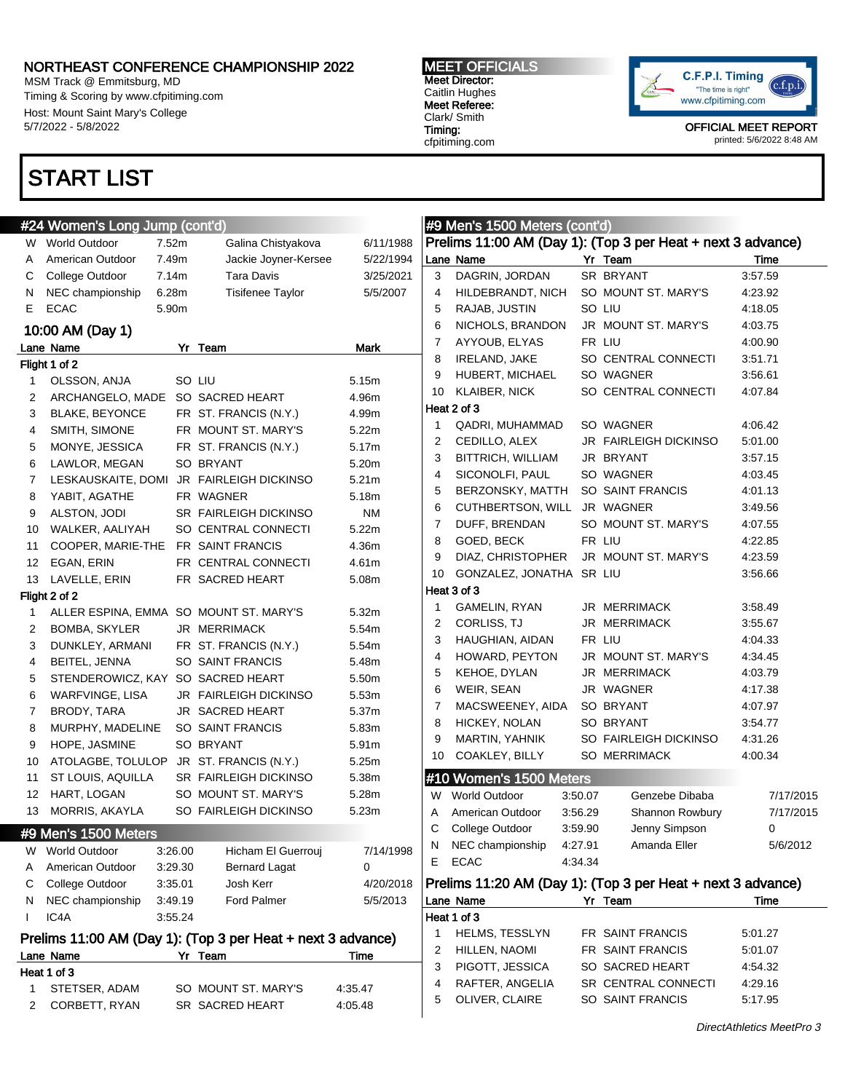MSM Track @ Emmitsburg, MD Timing & Scoring by www.cfpitiming.com Host: Mount Saint Mary's College 5/7/2022 - 5/8/2022

# START LIST

#### MEET OFFICIALS Meet Director: Caitlin Hughes Meet Referee: Clark/ Smith Timing:

cfpitiming.com



|    | #24 Women's Long Jump (cont'd)     |         |                                                             |           |                | #9 Men's 1500 Meters (cont'd) |         |                                                             |           |
|----|------------------------------------|---------|-------------------------------------------------------------|-----------|----------------|-------------------------------|---------|-------------------------------------------------------------|-----------|
|    | W World Outdoor                    | 7.52m   | Galina Chistyakova                                          | 6/11/1988 |                |                               |         | Prelims 11:00 AM (Day 1): (Top 3 per Heat + next 3 advance) |           |
| A  | American Outdoor                   | 7.49m   | Jackie Joyner-Kersee                                        | 5/22/1994 |                | Lane Name                     |         | Yr Team                                                     | Time      |
| С  | College Outdoor                    | 7.14m   | Tara Davis                                                  | 3/25/2021 | 3              | DAGRIN, JORDAN                |         | SR BRYANT                                                   | 3:57.59   |
| N  | NEC championship                   | 6.28m   | <b>Tisifenee Taylor</b>                                     | 5/5/2007  | 4              | HILDEBRANDT, NICH             |         | SO MOUNT ST. MARY'S                                         | 4:23.92   |
| Е  | <b>ECAC</b>                        | 5.90m   |                                                             |           | 5              | RAJAB, JUSTIN                 |         | SO LIU                                                      | 4:18.05   |
|    | 10:00 AM (Day 1)                   |         |                                                             |           | 6              | NICHOLS, BRANDON              |         | JR MOUNT ST. MARY'S                                         | 4:03.75   |
|    | Lane Name                          |         | Yr Team                                                     | Mark      | 7              | AYYOUB, ELYAS                 |         | FR LIU                                                      | 4:00.90   |
|    | Flight 1 of 2                      |         |                                                             |           | 8              | <b>IRELAND, JAKE</b>          |         | SO CENTRAL CONNECTI                                         | 3:51.71   |
| 1  | OLSSON, ANJA                       |         | SO LIU                                                      | 5.15m     | 9              | HUBERT, MICHAEL               |         | SO WAGNER                                                   | 3:56.61   |
| 2  | ARCHANGELO, MADE SO SACRED HEART   |         |                                                             | 4.96m     | 10             | <b>KLAIBER, NICK</b>          |         | SO CENTRAL CONNECTI                                         | 4:07.84   |
| 3  | <b>BLAKE, BEYONCE</b>              |         | FR ST. FRANCIS (N.Y.)                                       | 4.99m     |                | Heat 2 of 3                   |         |                                                             |           |
| 4  | SMITH, SIMONE                      |         | FR MOUNT ST. MARY'S                                         | 5.22m     | 1              | QADRI, MUHAMMAD               |         | SO WAGNER                                                   | 4:06.42   |
| 5  | MONYE, JESSICA                     |         | FR ST. FRANCIS (N.Y.)                                       | 5.17m     | 2              | CEDILLO, ALEX                 |         | <b>JR FAIRLEIGH DICKINSO</b>                                | 5:01.00   |
| 6  | LAWLOR, MEGAN                      |         | SO BRYANT                                                   | 5.20m     | 3              | BITTRICH, WILLIAM             |         | JR BRYANT                                                   | 3:57.15   |
| 7  |                                    |         | LESKAUSKAITE, DOMI JR FAIRLEIGH DICKINSO                    | 5.21m     | 4              | SICONOLFI, PAUL               |         | SO WAGNER                                                   | 4:03.45   |
| 8  | YABIT, AGATHE                      |         | FR WAGNER                                                   | 5.18m     | 5              | BERZONSKY, MATTH              |         | SO SAINT FRANCIS                                            | 4:01.13   |
| 9  | ALSTON, JODI                       |         | <b>SR FAIRLEIGH DICKINSO</b>                                | <b>NM</b> | 6              | CUTHBERTSON, WILL             |         | JR WAGNER                                                   | 3:49.56   |
| 10 | WALKER, AALIYAH                    |         | SO CENTRAL CONNECTI                                         | 5.22m     | 7              | DUFF, BRENDAN                 |         | SO MOUNT ST. MARY'S                                         | 4:07.55   |
| 11 | COOPER, MARIE-THE FR SAINT FRANCIS |         |                                                             | 4.36m     | 8              | GOED, BECK                    |         | FR LIU                                                      | 4:22.85   |
| 12 | EGAN, ERIN                         |         | FR CENTRAL CONNECTI                                         | 4.61m     | 9              | DIAZ, CHRISTOPHER             |         | JR MOUNT ST. MARY'S                                         | 4:23.59   |
| 13 | LAVELLE, ERIN                      |         | FR SACRED HEART                                             | 5.08m     | 10             | GONZALEZ, JONATHA SR LIU      |         |                                                             | 3:56.66   |
|    | Flight 2 of 2                      |         |                                                             |           |                | Heat 3 of 3                   |         |                                                             |           |
| 1  |                                    |         | ALLER ESPINA, EMMA SO MOUNT ST. MARY'S                      | 5.32m     | -1             | GAMELIN, RYAN                 |         | JR MERRIMACK                                                | 3:58.49   |
| 2  | <b>BOMBA, SKYLER</b>               |         | JR MERRIMACK                                                | 5.54m     | $\overline{2}$ | <b>CORLISS, TJ</b>            |         | JR MERRIMACK                                                | 3:55.67   |
| 3  | DUNKLEY, ARMANI                    |         | FR ST. FRANCIS (N.Y.)                                       | 5.54m     | 3              | HAUGHIAN, AIDAN               |         | FR LIU                                                      | 4:04.33   |
| 4  | BEITEL, JENNA                      |         | SO SAINT FRANCIS                                            | 5.48m     | 4              | HOWARD, PEYTON                |         | JR MOUNT ST. MARY'S                                         | 4:34.45   |
| 5  | STENDEROWICZ, KAY SO SACRED HEART  |         |                                                             | 5.50m     | 5              | KEHOE, DYLAN                  |         | JR MERRIMACK                                                | 4:03.79   |
| 6  | WARFVINGE, LISA                    |         | <b>JR FAIRLEIGH DICKINSO</b>                                | 5.53m     | 6              | WEIR, SEAN                    |         | JR WAGNER                                                   | 4:17.38   |
| 7  | BRODY, TARA                        |         | JR SACRED HEART                                             | 5.37m     | 7              | MACSWEENEY, AIDA              |         | SO BRYANT                                                   | 4:07.97   |
| 8  | MURPHY, MADELINE                   |         | SO SAINT FRANCIS                                            | 5.83m     | 8              | HICKEY, NOLAN                 |         | SO BRYANT                                                   | 3:54.77   |
| 9  | HOPE, JASMINE                      |         | SO BRYANT                                                   | 5.91m     | 9              | MARTIN, YAHNIK                |         | SO FAIRLEIGH DICKINSO                                       | 4:31.26   |
| 10 |                                    |         | ATOLAGBE, TOLULOP JR ST. FRANCIS (N.Y.)                     | 5.25m     | 10             | COAKLEY, BILLY                |         | SO MERRIMACK                                                | 4:00.34   |
| 11 | ST LOUIS, AQUILLA                  |         | <b>SR FAIRLEIGH DICKINSO</b>                                | 5.38m     |                | #10 Women's 1500 Meters       |         |                                                             |           |
| 12 | HART, LOGAN                        |         | SO MOUNT ST. MARY'S                                         | 5.28m     | W              | <b>World Outdoor</b>          | 3:50.07 | Genzebe Dibaba                                              | 7/17/2015 |
| 13 | MORRIS, AKAYLA                     |         | SO FAIRLEIGH DICKINSO                                       | 5.23m     | Α              | American Outdoor              | 3:56.29 | Shannon Rowbury                                             | 7/17/2015 |
|    | #9 Men's 1500 Meters               |         |                                                             |           | С              | College Outdoor               | 3:59.90 | Jenny Simpson                                               | 0         |
| W  | World Outdoor                      | 3:26.00 | Hicham El Guerrouj                                          | 7/14/1998 | N              | NEC championship              | 4:27.91 | Amanda Eller                                                | 5/6/2012  |
| A  | American Outdoor                   | 3:29.30 | <b>Bernard Lagat</b>                                        | 0         | Е              | <b>ECAC</b>                   | 4:34.34 |                                                             |           |
| С  | College Outdoor                    | 3:35.01 | Josh Kerr                                                   | 4/20/2018 |                |                               |         | Prelims 11:20 AM (Day 1): (Top 3 per Heat + next 3 advance) |           |
| N  | NEC championship                   | 3:49.19 | Ford Palmer                                                 | 5/5/2013  |                | Lane Name                     |         | Yr Team                                                     | Time      |
| I  | IC4A                               | 3:55.24 |                                                             |           |                | Heat 1 of 3                   |         |                                                             |           |
|    |                                    |         |                                                             |           | 1              | HELMS, TESSLYN                |         | FR SAINT FRANCIS                                            | 5:01.27   |
|    |                                    |         | Prelims 11:00 AM (Day 1): (Top 3 per Heat + next 3 advance) |           | 2              | HILLEN, NAOMI                 |         | FR SAINT FRANCIS                                            | 5:01.07   |
|    | Lane Name                          |         | Yr Team                                                     | Time      | 3              | PIGOTT, JESSICA               |         | SO SACRED HEART                                             | 4:54.32   |
|    | Heat 1 of 3                        |         |                                                             |           | 4              | RAFTER, ANGELIA               |         | SR CENTRAL CONNECTI                                         | 4:29.16   |
| 1  | STETSER, ADAM                      |         | SO MOUNT ST. MARY'S                                         | 4:35.47   | 5              | OLIVER, CLAIRE                |         | SO SAINT FRANCIS                                            | 5:17.95   |
| 2  | CORBETT, RYAN                      |         | SR SACRED HEART                                             | 4:05.48   |                |                               |         |                                                             |           |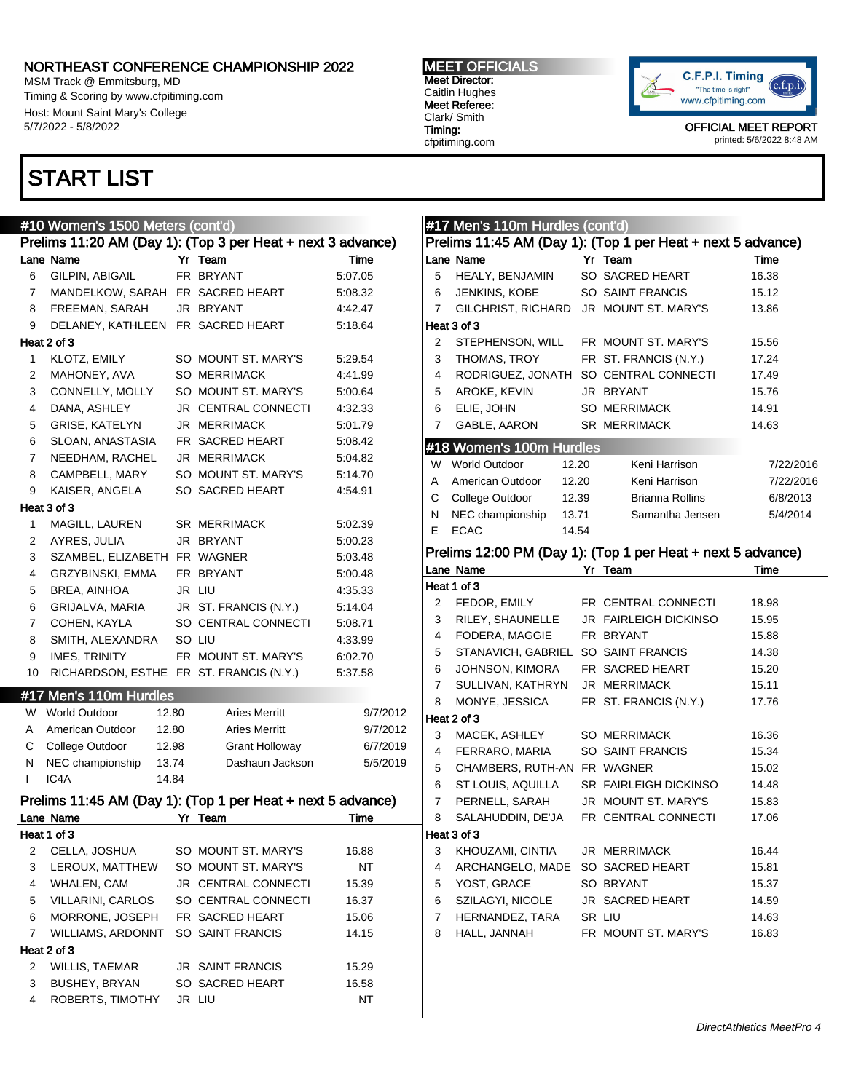MSM Track @ Emmitsburg, MD Timing & Scoring by www.cfpitiming.com Host: Mount Saint Mary's College 5/7/2022 - 5/8/2022

# START LIST

#### MEET OFFICIALS Meet Director: Caitlin Hughes Meet Referee: Clark/ Smith Timing: cfpitiming.com



|              | #10 Women's 1500 Meters (cont'd)        |                                                             |           |                | #17 Men's 110m Hurdles (cont'd)                   |                                                             |           |
|--------------|-----------------------------------------|-------------------------------------------------------------|-----------|----------------|---------------------------------------------------|-------------------------------------------------------------|-----------|
|              |                                         | Prelims 11:20 AM (Day 1): (Top 3 per Heat + next 3 advance) |           |                |                                                   | Prelims 11:45 AM (Day 1): (Top 1 per Heat + next 5 advance) |           |
|              | Lane Name                               | Yr Team                                                     | Time      |                | Lane Name                                         | Yr Team                                                     | Time      |
| 6            | GILPIN, ABIGAIL                         | FR BRYANT                                                   | 5:07.05   | 5              | HEALY, BENJAMIN                                   | SO SACRED HEART                                             | 16.38     |
| 7            | MANDELKOW, SARAH FR SACRED HEART        |                                                             | 5:08.32   | 6              | JENKINS, KOBE                                     | SO SAINT FRANCIS                                            | 15.12     |
| 8            | FREEMAN, SARAH                          | JR BRYANT                                                   | 4:42.47   | 7              | GILCHRIST, RICHARD                                | JR MOUNT ST. MARY'S                                         | 13.86     |
| 9            | DELANEY, KATHLEEN FR SACRED HEART       |                                                             | 5:18.64   |                | Heat 3 of 3                                       |                                                             |           |
|              | Heat 2 of 3                             |                                                             |           | 2              | STEPHENSON, WILL                                  | FR MOUNT ST. MARY'S                                         | 15.56     |
| 1            | KLOTZ, EMILY                            | SO MOUNT ST. MARY'S                                         | 5.29.54   | 3              | THOMAS, TROY                                      | FR ST. FRANCIS (N.Y.)                                       | 17.24     |
| 2            | MAHONEY, AVA                            | <b>SO MERRIMACK</b>                                         | 4:41.99   | 4              | RODRIGUEZ, JONATH                                 | SO CENTRAL CONNECTI                                         | 17.49     |
| 3            | CONNELLY, MOLLY                         | SO MOUNT ST. MARY'S                                         | 5:00.64   | 5              | AROKE, KEVIN                                      | JR BRYANT                                                   | 15.76     |
| 4            | DANA, ASHLEY                            | JR CENTRAL CONNECTI                                         | 4:32.33   | 6              | ELIE, JOHN                                        | <b>SO MERRIMACK</b>                                         | 14.91     |
| 5            | <b>GRISE, KATELYN</b>                   | JR MERRIMACK                                                | 5:01.79   | 7              | GABLE, AARON                                      | <b>SR MERRIMACK</b>                                         | 14.63     |
| 6            | SLOAN, ANASTASIA                        | FR SACRED HEART                                             | 5:08.42   |                | #18 Women's 100m Hurdles                          |                                                             |           |
| 7            | NEEDHAM, RACHEL                         | JR MERRIMACK                                                | 5:04.82   |                | W World Outdoor<br>12.20                          | Keni Harrison                                               | 7/22/2016 |
| 8            | CAMPBELL, MARY                          | SO MOUNT ST. MARY'S                                         | 5:14.70   |                |                                                   | Keni Harrison                                               |           |
| 9            | KAISER, ANGELA                          | SO SACRED HEART                                             | 4:54.91   | Α              | 12.20<br>American Outdoor                         | <b>Brianna Rollins</b>                                      | 7/22/2016 |
|              | Heat 3 of 3                             |                                                             |           | С              | College Outdoor<br>12.39                          | Samantha Jensen                                             | 6/8/2013  |
| 1            | MAGILL, LAUREN                          | <b>SR MERRIMACK</b>                                         | 5:02.39   | N<br>E         | NEC championship<br>13.71<br><b>ECAC</b><br>14.54 |                                                             | 5/4/2014  |
| 2            | AYRES, JULIA                            | JR BRYANT                                                   | 5:00.23   |                |                                                   |                                                             |           |
| 3            | SZAMBEL, ELIZABETH FR WAGNER            |                                                             | 5:03.48   |                |                                                   | Prelims 12:00 PM (Day 1): (Top 1 per Heat + next 5 advance) |           |
| 4            | GRZYBINSKI, EMMA                        | FR BRYANT                                                   | 5:00.48   |                | Lane Name                                         | Yr Team                                                     | Time      |
| 5            | BREA, AINHOA                            | JR LIU                                                      | 4:35.33   |                | Heat 1 of 3                                       |                                                             |           |
| 6            | GRIJALVA, MARIA                         | JR ST. FRANCIS (N.Y.)                                       | 5:14.04   | 2              | FEDOR, EMILY                                      | FR CENTRAL CONNECTI                                         | 18.98     |
| 7            | COHEN, KAYLA                            | SO CENTRAL CONNECTI                                         | 5:08.71   | 3              | RILEY, SHAUNELLE                                  | <b>JR FAIRLEIGH DICKINSO</b>                                | 15.95     |
| 8            | SMITH, ALEXANDRA                        | SO LIU                                                      | 4:33.99   | 4              | FODERA, MAGGIE                                    | FR BRYANT                                                   | 15.88     |
| 9            | <b>IMES, TRINITY</b>                    | FR MOUNT ST. MARY'S                                         | 6:02.70   | 5              | STANAVICH, GABRIEL                                | SO SAINT FRANCIS                                            | 14.38     |
| 10           | RICHARDSON, ESTHE FR ST. FRANCIS (N.Y.) |                                                             | 5:37.58   | 6              | JOHNSON, KIMORA                                   | FR SACRED HEART                                             | 15.20     |
|              |                                         |                                                             |           | 7              | SULLIVAN, KATHRYN                                 | JR MERRIMACK                                                | 15.11     |
|              | #17 Men's 110m Hurdles                  |                                                             |           | 8              | MONYE, JESSICA                                    | FR ST. FRANCIS (N.Y.)                                       | 17.76     |
| W            | <b>World Outdoor</b><br>12.80           | <b>Aries Merritt</b>                                        | 9/7/2012  |                | Heat 2 of 3                                       |                                                             |           |
| A            | 12.80<br>American Outdoor               | <b>Aries Merritt</b>                                        | 9/7/2012  | 3              | MACEK, ASHLEY                                     | <b>SO MERRIMACK</b>                                         | 16.36     |
| С            | College Outdoor<br>12.98                | <b>Grant Holloway</b>                                       | 6/7/2019  | 4              | FERRARO, MARIA                                    | SO SAINT FRANCIS                                            | 15.34     |
| N            | NEC championship<br>13.74               | Dashaun Jackson                                             | 5/5/2019  | 5              | CHAMBERS, RUTH-AN FR WAGNER                       |                                                             | 15.02     |
| $\mathbf{I}$ | IC4A<br>14.84                           |                                                             |           | 6              | ST LOUIS, AQUILLA                                 | SR FAIRLEIGH DICKINSO                                       | 14.48     |
|              |                                         | Prelims 11:45 AM (Day 1): (Top 1 per Heat + next 5 advance) |           | $\overline{7}$ | PERNELL, SARAH                                    | JR MOUNT ST. MARY'S                                         | 15.83     |
|              | Lane Name                               | Yr Team                                                     | Time      | 8              | SALAHUDDIN, DE'JA                                 | FR CENTRAL CONNECTI                                         | 17.06     |
|              | Heat 1 of 3                             |                                                             |           |                | Heat 3 of 3                                       |                                                             |           |
| 2            | CELLA, JOSHUA                           | SO MOUNT ST. MARY'S                                         | 16.88     | 3              | KHOUZAMI, CINTIA                                  | JR MERRIMACK                                                | 16.44     |
| 3            | LEROUX, MATTHEW                         | SO MOUNT ST. MARY'S                                         | <b>NT</b> | 4              | ARCHANGELO, MADE                                  | SO SACRED HEART                                             | 15.81     |
| 4            | WHALEN, CAM                             | JR CENTRAL CONNECTI                                         | 15.39     | 5              | YOST, GRACE                                       | SO BRYANT                                                   | 15.37     |
| 5            | VILLARINI, CARLOS                       | SO CENTRAL CONNECTI                                         | 16.37     | 6              | SZILAGYI, NICOLE                                  | JR SACRED HEART                                             | 14.59     |
| 6            | MORRONE, JOSEPH                         | FR SACRED HEART                                             | 15.06     | 7              | HERNANDEZ, TARA                                   | SR LIU                                                      | 14.63     |
| 7            | WILLIAMS, ARDONNT                       | SO SAINT FRANCIS                                            | 14.15     | 8              | HALL, JANNAH                                      | FR MOUNT ST. MARY'S                                         | 16.83     |
|              | Heat 2 of 3                             |                                                             |           |                |                                                   |                                                             |           |
| 2            | <b>WILLIS, TAEMAR</b>                   | JR SAINT FRANCIS                                            | 15.29     |                |                                                   |                                                             |           |
| 3            | <b>BUSHEY, BRYAN</b>                    | SO SACRED HEART                                             | 16.58     |                |                                                   |                                                             |           |
| 4            | ROBERTS, TIMOTHY                        | JR LIU                                                      | <b>NT</b> |                |                                                   |                                                             |           |
|              |                                         |                                                             |           |                |                                                   |                                                             |           |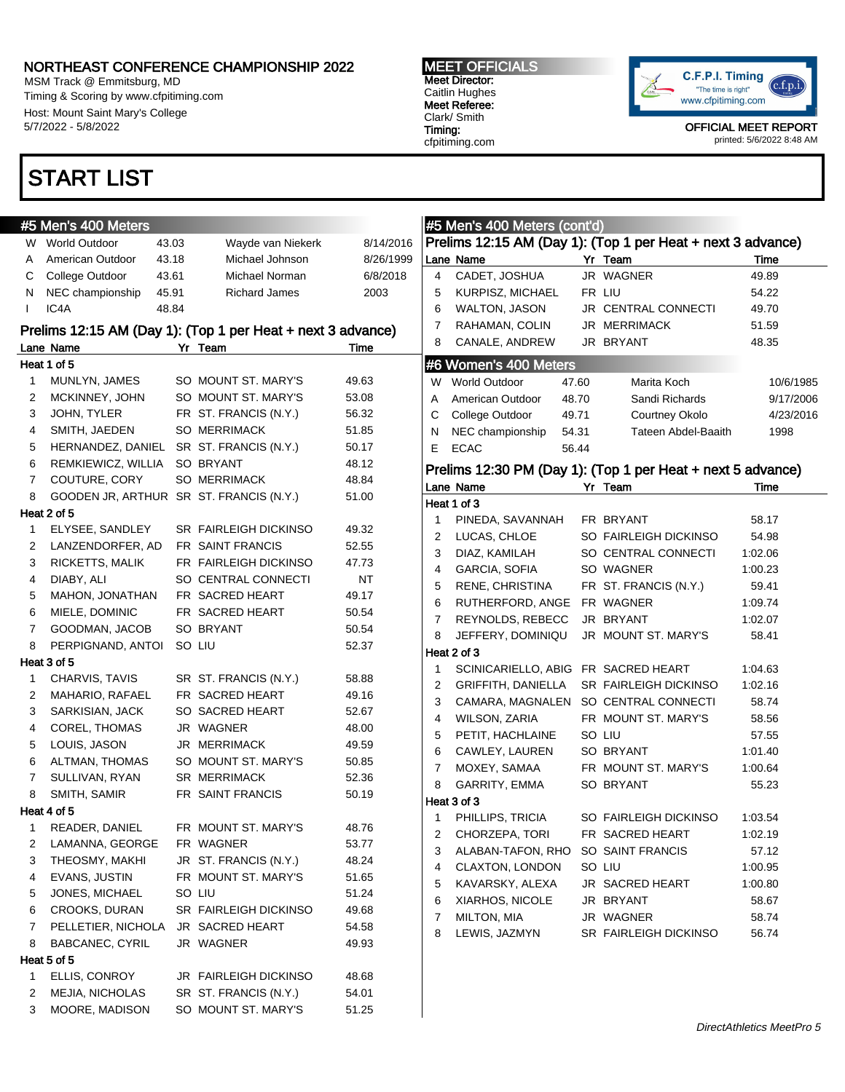MSM Track @ Emmitsburg, MD Timing & Scoring by www.cfpitiming.com Host: Mount Saint Mary's College 5/7/2022 - 5/8/2022

### START LIST

#### #5 Men's 400 Meters W World Outdoor 43.03 Wayde van Niekerk 8/14/2016 A American Outdoor 43.18 Michael Johnson 8/26/1999 C College Outdoor 43.61 Michael Norman 6/8/2018 N NEC championship 45.91 Richard James 2003 I IC4A 48.84 Prelims 12:15 AM (Day 1): (Top 1 per Heat + next 3 advance) Lane Name Name Yr Team Time Heat 1 of 5 1 MUNLYN, JAMES SO MOUNT ST. MARY'S 49.63 2 MCKINNEY, JOHN SO MOUNT ST, MARY'S 53.08 3 JOHN, TYLER FR ST. FRANCIS (N.Y.) 56.32 4 SMITH, JAEDEN SO MERRIMACK 51.85 5 HERNANDEZ, DANIEL SR ST. FRANCIS (N.Y.) 50.17 6 REMKIEWICZ, WILLIA SO BRYANT 48.12 7 COUTURE, CORY SO MERRIMACK 48.84 8 GOODEN JR, ARTHUR SR ST. FRANCIS (N.Y.) 51.00 Heat 2 of 5 1 ELYSEE, SANDLEY SR FAIRLEIGH DICKINSO 49.32 2 LANZENDORFER, AD FR SAINT FRANCIS 52.55 3 RICKETTS, MALIK FR FAIRLEIGH DICKINSO 47.73 4 DIABY, ALI SO CENTRAL CONNECTI NT 5 MAHON, JONATHAN FR SACRED HEART 49.17 6 MIELE, DOMINIC FR SACRED HEART 50.54 7 GOODMAN, JACOB SO BRYANT 50.54 8 PERPIGNAND, ANTOI SO LIU 52.37 Heat 3 of 5 1 CHARVIS, TAVIS SR ST. FRANCIS (N.Y.) 58.88 2 MAHARIO, RAFAEL FR SACRED HEART 49.16 3 SARKISIAN, JACK SO SACRED HEART 52.67 4 COREL, THOMAS JR WAGNER 48.00 5 LOUIS, JASON JR MERRIMACK 49.59 6 ALTMAN, THOMAS SO MOUNT ST. MARY'S 50.85 7 SULLIVAN, RYAN SR MERRIMACK 52.36 8 SMITH, SAMIR
BER SAINT FRANCIS
SO.19 **BER SAINT FRANCIS** Heat 4 of 5 1 READER, DANIEL FR MOUNT ST. MARY'S 48.76 2 LAMANNA, GEORGE FR WAGNER 53.77 3 THEOSMY, MAKHI JR ST. FRANCIS (N.Y.) 48.24 4 EVANS, JUSTIN FR MOUNT ST. MARY'S 51.65 5 JONES, MICHAEL SO LIU 51.24 6 CROOKS, DURAN SR FAIRLEIGH DICKINSO 49.68 7 PELLETIER, NICHOLA JR SACRED HEART 54.58 8 BABCANEC, CYRIL JR WAGNER 49.93 Heat 5 of 5 1 ELLIS, CONROY JR FAIRLEIGH DICKINSO 48.68 2 MEJIA, NICHOLAS SR ST. FRANCIS (N.Y.) 54.01 3 MOORE, MADISON SO MOUNT ST. MARY'S 51.25 #5 Men's 400 Meters (cont'd) Prelims 12:15 AM (Day 1): (Top 1 per Heat + next 3 advance) Lane Name Yr Team Time 4 CADET, JOSHUA JR WAGNER 49.89 5 KURPISZ, MICHAEL FR LIU 54.22 6 WALTON, JASON JR CENTRAL CONNECTI 49.70 7 RAHAMAN, COLIN JR MERRIMACK 51.59 8 CANALE, ANDREW JR BRYANT 48.35 #6 Women's 400 Meters W World Outdoor 47.60 Marita Koch 10/6/1985 A American Outdoor 48.70 Sandi Richards 9/17/2006 C College Outdoor 49.71 Courtney Okolo 4/23/2016 N NEC championship 54.31 Tateen Abdel-Baaith 1998 E ECAC 56.44 Prelims 12:30 PM (Day 1): (Top 1 per Heat + next 5 advance) Lane Name Yr Team Time Heat 1 of 3 1 PINEDA, SAVANNAH FR BRYANT 58.17 2 LUCAS, CHLOE SO FAIRLEIGH DICKINSO 54.98 3 DIAZ, KAMILAH SO CENTRAL CONNECTI 1:02.06 4 GARCIA, SOFIA SO WAGNER 1:00.23 5 RENE, CHRISTINA FR ST. FRANCIS (N.Y.) 59.41 6 RUTHERFORD, ANGE FR WAGNER 1:09.74 7 REYNOLDS, REBECC JR BRYANT 1:02.07 8 JEFFERY, DOMINIQU JR MOUNT ST. MARY'S 58.41 Heat 2 of 3 1 SCINICARIELLO, ABIG FR SACRED HEART 1:04.63 2 GRIFFITH, DANIELLA SR FAIRLEIGH DICKINSO 1:02.16 3 CAMARA, MAGNALEN SO CENTRAL CONNECTI 58.74 4 WILSON, ZARIA FR MOUNT ST. MARY'S 58.56 5 PETIT, HACHLAINE SO LIU 57.55 6 CAWLEY, LAUREN SO BRYANT 1:01.40 7 MOXEY, SAMAA FR MOUNT ST. MARY'S 1:00.64 8 GARRITY, EMMA SO BRYANT 55.23 Heat 3 of 3 1 PHILLIPS, TRICIA SO FAIRLEIGH DICKINSO 1:03.54 2 CHORZEPA, TORI FR SACRED HEART 1:02.19 3 ALABAN-TAFON, RHO SO SAINT FRANCIS 57.12 4 CLAXTON, LONDON SO LIU 1:00.95 5 KAVARSKY, ALEXA JR SACRED HEART 1:00.80 6 XIARHOS, NICOLE JR BRYANT 58.67 7 MILTON, MIA JR WAGNER 58.74 8 LEWIS, JAZMYN SR FAIRLEIGH DICKINSO 56.74

"The time is right"

OFFICIAL MEET REPORT printed: 5/6/2022 8:48 AM



Caitlin Hughes Meet Referee: Clark/ Smith Timing: cfpitiming.com

MEET OFFICIALS Meet Director: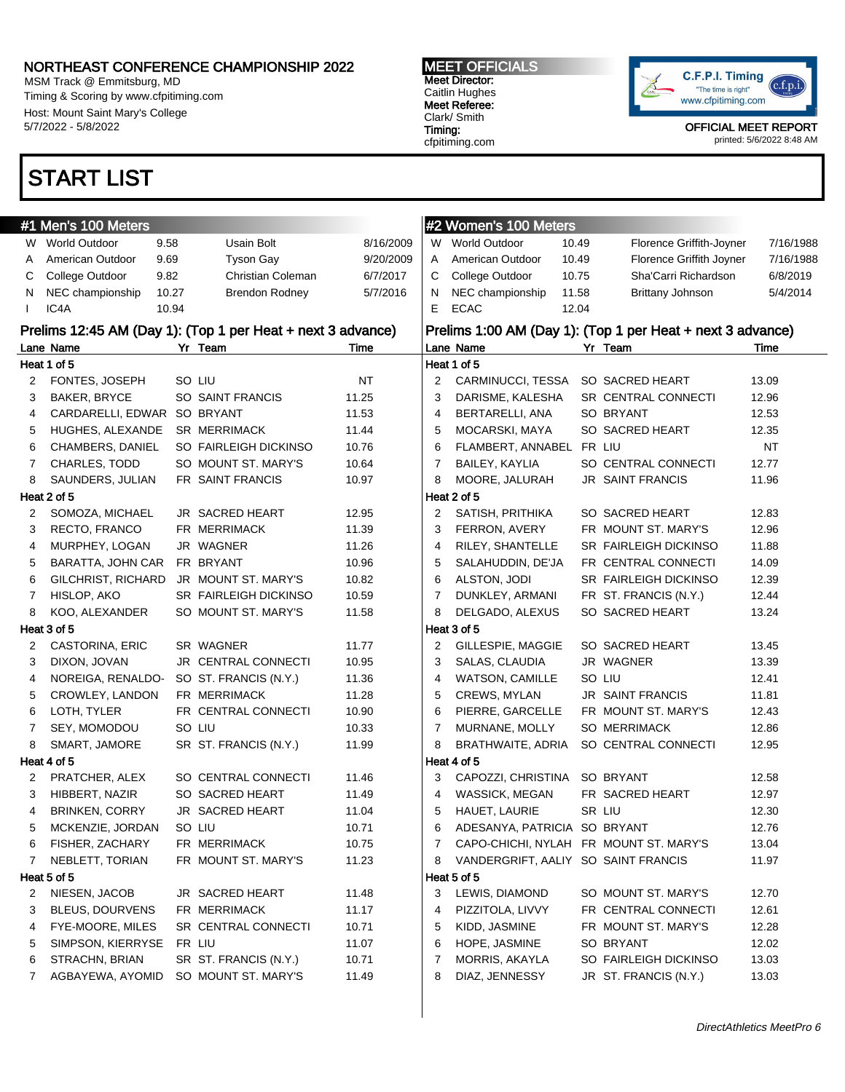MSM Track @ Emmitsburg, MD Timing & Scoring by www.cfpitiming.com Host: Mount Saint Mary's College 5/7/2022 - 5/8/2022

#### MEET OFFICIALS Meet Director: Caitlin Hughes

Meet Referee: Clark/ Smith Timing: cfpitiming.com



OFFICIAL MEET REPORT printed: 5/6/2022 8:48 AM

## START LIST

| #1 Men's 100 Meters    |                                                                                                                                                                                                                                                                                                                             |                                        |                                                                                                                                                                                                                                                                                                                                                                                                                                                                                                                                                                                                                              |                                                                                                                   | #2 Women's 100 Meters  |                                                                                                                                                                                                                                      |                                                                                                                                |                                                                                                                                                                                                                                                                                                                                                                                                                                                                                                                                                                                                                                                                                                                                                                                                                    |
|------------------------|-----------------------------------------------------------------------------------------------------------------------------------------------------------------------------------------------------------------------------------------------------------------------------------------------------------------------------|----------------------------------------|------------------------------------------------------------------------------------------------------------------------------------------------------------------------------------------------------------------------------------------------------------------------------------------------------------------------------------------------------------------------------------------------------------------------------------------------------------------------------------------------------------------------------------------------------------------------------------------------------------------------------|-------------------------------------------------------------------------------------------------------------------|------------------------|--------------------------------------------------------------------------------------------------------------------------------------------------------------------------------------------------------------------------------------|--------------------------------------------------------------------------------------------------------------------------------|--------------------------------------------------------------------------------------------------------------------------------------------------------------------------------------------------------------------------------------------------------------------------------------------------------------------------------------------------------------------------------------------------------------------------------------------------------------------------------------------------------------------------------------------------------------------------------------------------------------------------------------------------------------------------------------------------------------------------------------------------------------------------------------------------------------------|
|                        |                                                                                                                                                                                                                                                                                                                             | Usain Bolt                             | 8/16/2009                                                                                                                                                                                                                                                                                                                                                                                                                                                                                                                                                                                                                    |                                                                                                                   |                        |                                                                                                                                                                                                                                      |                                                                                                                                | 7/16/1988                                                                                                                                                                                                                                                                                                                                                                                                                                                                                                                                                                                                                                                                                                                                                                                                          |
| American Outdoor       |                                                                                                                                                                                                                                                                                                                             | <b>Tyson Gay</b>                       | 9/20/2009                                                                                                                                                                                                                                                                                                                                                                                                                                                                                                                                                                                                                    | A                                                                                                                 | American Outdoor       |                                                                                                                                                                                                                                      |                                                                                                                                | 7/16/1988                                                                                                                                                                                                                                                                                                                                                                                                                                                                                                                                                                                                                                                                                                                                                                                                          |
|                        |                                                                                                                                                                                                                                                                                                                             | Christian Coleman                      | 6/7/2017                                                                                                                                                                                                                                                                                                                                                                                                                                                                                                                                                                                                                     | C                                                                                                                 | College Outdoor        |                                                                                                                                                                                                                                      | Sha'Carri Richardson                                                                                                           | 6/8/2019                                                                                                                                                                                                                                                                                                                                                                                                                                                                                                                                                                                                                                                                                                                                                                                                           |
| NEC championship       |                                                                                                                                                                                                                                                                                                                             | <b>Brendon Rodney</b>                  | 5/7/2016                                                                                                                                                                                                                                                                                                                                                                                                                                                                                                                                                                                                                     | N.                                                                                                                | NEC championship       |                                                                                                                                                                                                                                      | <b>Brittany Johnson</b>                                                                                                        | 5/4/2014                                                                                                                                                                                                                                                                                                                                                                                                                                                                                                                                                                                                                                                                                                                                                                                                           |
| IC4A                   |                                                                                                                                                                                                                                                                                                                             |                                        |                                                                                                                                                                                                                                                                                                                                                                                                                                                                                                                                                                                                                              | Е                                                                                                                 | <b>ECAC</b>            |                                                                                                                                                                                                                                      |                                                                                                                                |                                                                                                                                                                                                                                                                                                                                                                                                                                                                                                                                                                                                                                                                                                                                                                                                                    |
|                        |                                                                                                                                                                                                                                                                                                                             |                                        |                                                                                                                                                                                                                                                                                                                                                                                                                                                                                                                                                                                                                              |                                                                                                                   |                        |                                                                                                                                                                                                                                      |                                                                                                                                |                                                                                                                                                                                                                                                                                                                                                                                                                                                                                                                                                                                                                                                                                                                                                                                                                    |
|                        |                                                                                                                                                                                                                                                                                                                             |                                        | Time                                                                                                                                                                                                                                                                                                                                                                                                                                                                                                                                                                                                                         |                                                                                                                   |                        |                                                                                                                                                                                                                                      |                                                                                                                                | Time                                                                                                                                                                                                                                                                                                                                                                                                                                                                                                                                                                                                                                                                                                                                                                                                               |
|                        |                                                                                                                                                                                                                                                                                                                             |                                        |                                                                                                                                                                                                                                                                                                                                                                                                                                                                                                                                                                                                                              |                                                                                                                   |                        |                                                                                                                                                                                                                                      |                                                                                                                                |                                                                                                                                                                                                                                                                                                                                                                                                                                                                                                                                                                                                                                                                                                                                                                                                                    |
| FONTES, JOSEPH         |                                                                                                                                                                                                                                                                                                                             |                                        | NT                                                                                                                                                                                                                                                                                                                                                                                                                                                                                                                                                                                                                           | 2                                                                                                                 |                        |                                                                                                                                                                                                                                      |                                                                                                                                | 13.09                                                                                                                                                                                                                                                                                                                                                                                                                                                                                                                                                                                                                                                                                                                                                                                                              |
| <b>BAKER, BRYCE</b>    |                                                                                                                                                                                                                                                                                                                             |                                        | 11.25                                                                                                                                                                                                                                                                                                                                                                                                                                                                                                                                                                                                                        | 3                                                                                                                 | DARISME, KALESHA       |                                                                                                                                                                                                                                      |                                                                                                                                | 12.96                                                                                                                                                                                                                                                                                                                                                                                                                                                                                                                                                                                                                                                                                                                                                                                                              |
|                        |                                                                                                                                                                                                                                                                                                                             |                                        | 11.53                                                                                                                                                                                                                                                                                                                                                                                                                                                                                                                                                                                                                        | 4                                                                                                                 | BERTARELLI, ANA        |                                                                                                                                                                                                                                      |                                                                                                                                | 12.53                                                                                                                                                                                                                                                                                                                                                                                                                                                                                                                                                                                                                                                                                                                                                                                                              |
| HUGHES, ALEXANDE       |                                                                                                                                                                                                                                                                                                                             |                                        | 11.44                                                                                                                                                                                                                                                                                                                                                                                                                                                                                                                                                                                                                        | 5                                                                                                                 | MOCARSKI, MAYA         |                                                                                                                                                                                                                                      |                                                                                                                                | 12.35                                                                                                                                                                                                                                                                                                                                                                                                                                                                                                                                                                                                                                                                                                                                                                                                              |
| CHAMBERS, DANIEL       |                                                                                                                                                                                                                                                                                                                             |                                        | 10.76                                                                                                                                                                                                                                                                                                                                                                                                                                                                                                                                                                                                                        | 6                                                                                                                 |                        |                                                                                                                                                                                                                                      |                                                                                                                                | <b>NT</b>                                                                                                                                                                                                                                                                                                                                                                                                                                                                                                                                                                                                                                                                                                                                                                                                          |
| CHARLES, TODD          |                                                                                                                                                                                                                                                                                                                             |                                        | 10.64                                                                                                                                                                                                                                                                                                                                                                                                                                                                                                                                                                                                                        | 7                                                                                                                 | BAILEY, KAYLIA         |                                                                                                                                                                                                                                      |                                                                                                                                | 12.77                                                                                                                                                                                                                                                                                                                                                                                                                                                                                                                                                                                                                                                                                                                                                                                                              |
| SAUNDERS, JULIAN       |                                                                                                                                                                                                                                                                                                                             |                                        | 10.97                                                                                                                                                                                                                                                                                                                                                                                                                                                                                                                                                                                                                        | 8                                                                                                                 | MOORE, JALURAH         |                                                                                                                                                                                                                                      |                                                                                                                                | 11.96                                                                                                                                                                                                                                                                                                                                                                                                                                                                                                                                                                                                                                                                                                                                                                                                              |
|                        |                                                                                                                                                                                                                                                                                                                             |                                        |                                                                                                                                                                                                                                                                                                                                                                                                                                                                                                                                                                                                                              |                                                                                                                   |                        |                                                                                                                                                                                                                                      |                                                                                                                                |                                                                                                                                                                                                                                                                                                                                                                                                                                                                                                                                                                                                                                                                                                                                                                                                                    |
| SOMOZA, MICHAEL        |                                                                                                                                                                                                                                                                                                                             |                                        | 12.95                                                                                                                                                                                                                                                                                                                                                                                                                                                                                                                                                                                                                        | 2                                                                                                                 | SATISH, PRITHIKA       |                                                                                                                                                                                                                                      |                                                                                                                                | 12.83                                                                                                                                                                                                                                                                                                                                                                                                                                                                                                                                                                                                                                                                                                                                                                                                              |
| RECTO, FRANCO          |                                                                                                                                                                                                                                                                                                                             |                                        | 11.39                                                                                                                                                                                                                                                                                                                                                                                                                                                                                                                                                                                                                        | 3                                                                                                                 | FERRON, AVERY          |                                                                                                                                                                                                                                      |                                                                                                                                | 12.96                                                                                                                                                                                                                                                                                                                                                                                                                                                                                                                                                                                                                                                                                                                                                                                                              |
| MURPHEY, LOGAN         |                                                                                                                                                                                                                                                                                                                             |                                        | 11.26                                                                                                                                                                                                                                                                                                                                                                                                                                                                                                                                                                                                                        | 4                                                                                                                 | RILEY, SHANTELLE       |                                                                                                                                                                                                                                      |                                                                                                                                | 11.88                                                                                                                                                                                                                                                                                                                                                                                                                                                                                                                                                                                                                                                                                                                                                                                                              |
| BARATTA, JOHN CAR      |                                                                                                                                                                                                                                                                                                                             |                                        | 10.96                                                                                                                                                                                                                                                                                                                                                                                                                                                                                                                                                                                                                        | 5                                                                                                                 | SALAHUDDIN, DE'JA      |                                                                                                                                                                                                                                      |                                                                                                                                | 14.09                                                                                                                                                                                                                                                                                                                                                                                                                                                                                                                                                                                                                                                                                                                                                                                                              |
|                        |                                                                                                                                                                                                                                                                                                                             |                                        | 10.82                                                                                                                                                                                                                                                                                                                                                                                                                                                                                                                                                                                                                        | 6                                                                                                                 | ALSTON, JODI           |                                                                                                                                                                                                                                      |                                                                                                                                | 12.39                                                                                                                                                                                                                                                                                                                                                                                                                                                                                                                                                                                                                                                                                                                                                                                                              |
| HISLOP, AKO            |                                                                                                                                                                                                                                                                                                                             |                                        | 10.59                                                                                                                                                                                                                                                                                                                                                                                                                                                                                                                                                                                                                        | $\overline{7}$                                                                                                    | DUNKLEY, ARMANI        |                                                                                                                                                                                                                                      |                                                                                                                                | 12.44                                                                                                                                                                                                                                                                                                                                                                                                                                                                                                                                                                                                                                                                                                                                                                                                              |
| KOO, ALEXANDER         |                                                                                                                                                                                                                                                                                                                             |                                        | 11.58                                                                                                                                                                                                                                                                                                                                                                                                                                                                                                                                                                                                                        | 8                                                                                                                 | DELGADO, ALEXUS        |                                                                                                                                                                                                                                      |                                                                                                                                | 13.24                                                                                                                                                                                                                                                                                                                                                                                                                                                                                                                                                                                                                                                                                                                                                                                                              |
|                        |                                                                                                                                                                                                                                                                                                                             |                                        |                                                                                                                                                                                                                                                                                                                                                                                                                                                                                                                                                                                                                              |                                                                                                                   |                        |                                                                                                                                                                                                                                      |                                                                                                                                |                                                                                                                                                                                                                                                                                                                                                                                                                                                                                                                                                                                                                                                                                                                                                                                                                    |
|                        |                                                                                                                                                                                                                                                                                                                             |                                        | 11.77                                                                                                                                                                                                                                                                                                                                                                                                                                                                                                                                                                                                                        | 2                                                                                                                 | GILLESPIE, MAGGIE      |                                                                                                                                                                                                                                      |                                                                                                                                | 13.45                                                                                                                                                                                                                                                                                                                                                                                                                                                                                                                                                                                                                                                                                                                                                                                                              |
| DIXON, JOVAN           |                                                                                                                                                                                                                                                                                                                             |                                        | 10.95                                                                                                                                                                                                                                                                                                                                                                                                                                                                                                                                                                                                                        | 3                                                                                                                 | SALAS, CLAUDIA         |                                                                                                                                                                                                                                      |                                                                                                                                | 13.39                                                                                                                                                                                                                                                                                                                                                                                                                                                                                                                                                                                                                                                                                                                                                                                                              |
| NOREIGA, RENALDO-      |                                                                                                                                                                                                                                                                                                                             |                                        | 11.36                                                                                                                                                                                                                                                                                                                                                                                                                                                                                                                                                                                                                        | 4                                                                                                                 | <b>WATSON, CAMILLE</b> |                                                                                                                                                                                                                                      |                                                                                                                                | 12.41                                                                                                                                                                                                                                                                                                                                                                                                                                                                                                                                                                                                                                                                                                                                                                                                              |
|                        |                                                                                                                                                                                                                                                                                                                             |                                        | 11.28                                                                                                                                                                                                                                                                                                                                                                                                                                                                                                                                                                                                                        | 5                                                                                                                 |                        |                                                                                                                                                                                                                                      |                                                                                                                                | 11.81                                                                                                                                                                                                                                                                                                                                                                                                                                                                                                                                                                                                                                                                                                                                                                                                              |
| LOTH, TYLER            |                                                                                                                                                                                                                                                                                                                             |                                        | 10.90                                                                                                                                                                                                                                                                                                                                                                                                                                                                                                                                                                                                                        | 6                                                                                                                 |                        |                                                                                                                                                                                                                                      |                                                                                                                                | 12.43                                                                                                                                                                                                                                                                                                                                                                                                                                                                                                                                                                                                                                                                                                                                                                                                              |
| SEY, MOMODOU           |                                                                                                                                                                                                                                                                                                                             |                                        | 10.33                                                                                                                                                                                                                                                                                                                                                                                                                                                                                                                                                                                                                        | 7                                                                                                                 | MURNANE, MOLLY         |                                                                                                                                                                                                                                      |                                                                                                                                | 12.86                                                                                                                                                                                                                                                                                                                                                                                                                                                                                                                                                                                                                                                                                                                                                                                                              |
|                        |                                                                                                                                                                                                                                                                                                                             |                                        | 11.99                                                                                                                                                                                                                                                                                                                                                                                                                                                                                                                                                                                                                        | 8                                                                                                                 |                        |                                                                                                                                                                                                                                      |                                                                                                                                | 12.95                                                                                                                                                                                                                                                                                                                                                                                                                                                                                                                                                                                                                                                                                                                                                                                                              |
|                        |                                                                                                                                                                                                                                                                                                                             |                                        |                                                                                                                                                                                                                                                                                                                                                                                                                                                                                                                                                                                                                              |                                                                                                                   |                        |                                                                                                                                                                                                                                      |                                                                                                                                |                                                                                                                                                                                                                                                                                                                                                                                                                                                                                                                                                                                                                                                                                                                                                                                                                    |
| PRATCHER, ALEX         |                                                                                                                                                                                                                                                                                                                             |                                        | 11.46                                                                                                                                                                                                                                                                                                                                                                                                                                                                                                                                                                                                                        | 3                                                                                                                 |                        |                                                                                                                                                                                                                                      |                                                                                                                                | 12.58                                                                                                                                                                                                                                                                                                                                                                                                                                                                                                                                                                                                                                                                                                                                                                                                              |
| HIBBERT, NAZIR         |                                                                                                                                                                                                                                                                                                                             |                                        | 11.49                                                                                                                                                                                                                                                                                                                                                                                                                                                                                                                                                                                                                        | 4                                                                                                                 | WASSICK, MEGAN         |                                                                                                                                                                                                                                      |                                                                                                                                | 12.97                                                                                                                                                                                                                                                                                                                                                                                                                                                                                                                                                                                                                                                                                                                                                                                                              |
| <b>BRINKEN, CORRY</b>  |                                                                                                                                                                                                                                                                                                                             |                                        | 11.04                                                                                                                                                                                                                                                                                                                                                                                                                                                                                                                                                                                                                        | 5                                                                                                                 |                        |                                                                                                                                                                                                                                      |                                                                                                                                | 12.30                                                                                                                                                                                                                                                                                                                                                                                                                                                                                                                                                                                                                                                                                                                                                                                                              |
|                        |                                                                                                                                                                                                                                                                                                                             |                                        | 10.71                                                                                                                                                                                                                                                                                                                                                                                                                                                                                                                                                                                                                        | 6                                                                                                                 |                        |                                                                                                                                                                                                                                      |                                                                                                                                | 12.76                                                                                                                                                                                                                                                                                                                                                                                                                                                                                                                                                                                                                                                                                                                                                                                                              |
|                        |                                                                                                                                                                                                                                                                                                                             |                                        |                                                                                                                                                                                                                                                                                                                                                                                                                                                                                                                                                                                                                              | 7                                                                                                                 |                        |                                                                                                                                                                                                                                      |                                                                                                                                | 13.04                                                                                                                                                                                                                                                                                                                                                                                                                                                                                                                                                                                                                                                                                                                                                                                                              |
|                        |                                                                                                                                                                                                                                                                                                                             |                                        |                                                                                                                                                                                                                                                                                                                                                                                                                                                                                                                                                                                                                              |                                                                                                                   |                        |                                                                                                                                                                                                                                      |                                                                                                                                | 11.97                                                                                                                                                                                                                                                                                                                                                                                                                                                                                                                                                                                                                                                                                                                                                                                                              |
|                        |                                                                                                                                                                                                                                                                                                                             |                                        |                                                                                                                                                                                                                                                                                                                                                                                                                                                                                                                                                                                                                              |                                                                                                                   |                        |                                                                                                                                                                                                                                      |                                                                                                                                |                                                                                                                                                                                                                                                                                                                                                                                                                                                                                                                                                                                                                                                                                                                                                                                                                    |
|                        |                                                                                                                                                                                                                                                                                                                             |                                        |                                                                                                                                                                                                                                                                                                                                                                                                                                                                                                                                                                                                                              |                                                                                                                   |                        |                                                                                                                                                                                                                                      |                                                                                                                                | 12.70                                                                                                                                                                                                                                                                                                                                                                                                                                                                                                                                                                                                                                                                                                                                                                                                              |
| <b>BLEUS, DOURVENS</b> |                                                                                                                                                                                                                                                                                                                             |                                        |                                                                                                                                                                                                                                                                                                                                                                                                                                                                                                                                                                                                                              |                                                                                                                   |                        |                                                                                                                                                                                                                                      |                                                                                                                                | 12.61                                                                                                                                                                                                                                                                                                                                                                                                                                                                                                                                                                                                                                                                                                                                                                                                              |
|                        |                                                                                                                                                                                                                                                                                                                             |                                        |                                                                                                                                                                                                                                                                                                                                                                                                                                                                                                                                                                                                                              |                                                                                                                   |                        |                                                                                                                                                                                                                                      |                                                                                                                                | 12.28                                                                                                                                                                                                                                                                                                                                                                                                                                                                                                                                                                                                                                                                                                                                                                                                              |
|                        |                                                                                                                                                                                                                                                                                                                             |                                        |                                                                                                                                                                                                                                                                                                                                                                                                                                                                                                                                                                                                                              |                                                                                                                   |                        |                                                                                                                                                                                                                                      |                                                                                                                                | 12.02                                                                                                                                                                                                                                                                                                                                                                                                                                                                                                                                                                                                                                                                                                                                                                                                              |
| STRACHN, BRIAN         |                                                                                                                                                                                                                                                                                                                             | SR ST. FRANCIS (N.Y.)                  | 10.71                                                                                                                                                                                                                                                                                                                                                                                                                                                                                                                                                                                                                        | 7                                                                                                                 | MORRIS, AKAYLA         |                                                                                                                                                                                                                                      | SO FAIRLEIGH DICKINSO                                                                                                          | 13.03                                                                                                                                                                                                                                                                                                                                                                                                                                                                                                                                                                                                                                                                                                                                                                                                              |
|                        |                                                                                                                                                                                                                                                                                                                             |                                        |                                                                                                                                                                                                                                                                                                                                                                                                                                                                                                                                                                                                                              |                                                                                                                   |                        |                                                                                                                                                                                                                                      |                                                                                                                                |                                                                                                                                                                                                                                                                                                                                                                                                                                                                                                                                                                                                                                                                                                                                                                                                                    |
| AGBAYEWA, AYOMID       |                                                                                                                                                                                                                                                                                                                             | SO MOUNT ST. MARY'S                    | 11.49                                                                                                                                                                                                                                                                                                                                                                                                                                                                                                                                                                                                                        | 8                                                                                                                 | DIAZ, JENNESSY         |                                                                                                                                                                                                                                      | JR ST. FRANCIS (N.Y.)                                                                                                          | 13.03                                                                                                                                                                                                                                                                                                                                                                                                                                                                                                                                                                                                                                                                                                                                                                                                              |
|                        | W World Outdoor<br>College Outdoor<br>Lane Name<br>Heat 1 of 5<br>Heat 2 of 5<br>GILCHRIST, RICHARD<br>Heat 3 of 5<br>CASTORINA, ERIC<br>CROWLEY, LANDON<br>SMART, JAMORE<br>Heat 4 of 5<br>MCKENZIE, JORDAN<br>FISHER, ZACHARY<br>NEBLETT, TORIAN<br>Heat 5 of 5<br>NIESEN, JACOB<br>FYE-MOORE, MILES<br>SIMPSON, KIERRYSE | 9.58<br>9.69<br>9.82<br>10.27<br>10.94 | Yr Team<br>SO LIU<br>SO SAINT FRANCIS<br>CARDARELLI, EDWAR SO BRYANT<br><b>SR MERRIMACK</b><br>SO FAIRLEIGH DICKINSO<br>SO MOUNT ST. MARY'S<br>FR SAINT FRANCIS<br>JR SACRED HEART<br>FR MERRIMACK<br>JR WAGNER<br>FR BRYANT<br>JR MOUNT ST. MARY'S<br>SR FAIRLEIGH DICKINSO<br>SO MOUNT ST. MARY'S<br>SR WAGNER<br>JR CENTRAL CONNECTI<br>SO ST. FRANCIS (N.Y.)<br>FR MERRIMACK<br>FR CENTRAL CONNECTI<br>SO LIU<br>SR ST. FRANCIS (N.Y.)<br>SO CENTRAL CONNECTI<br>SO SACRED HEART<br>JR SACRED HEART<br>SO LIU<br>FR MERRIMACK<br>FR MOUNT ST. MARY'S<br>JR SACRED HEART<br>FR MERRIMACK<br>SR CENTRAL CONNECTI<br>FR LIU | Prelims 12:45 AM (Day 1): (Top 1 per Heat + next 3 advance)<br>10.75<br>11.23<br>11.48<br>11.17<br>10.71<br>11.07 | 8<br>3<br>4<br>5<br>6  | W World Outdoor<br>Lane Name<br>Heat 1 of 5<br>Heat 2 of 5<br>Heat 3 of 5<br>CREWS, MYLAN<br>PIERRE, GARCELLE<br>Heat 4 of 5<br>HAUET, LAURIE<br>Heat 5 of 5<br>LEWIS, DIAMOND<br>PIZZITOLA, LIVVY<br>KIDD, JASMINE<br>HOPE, JASMINE | 10.49<br>10.49<br>10.75<br>11.58<br>12.04<br>CARMINUCCI, TESSA<br>FLAMBERT, ANNABEL<br>BRATHWAITE, ADRIA<br>CAPOZZI, CHRISTINA | Florence Griffith-Joyner<br>Florence Griffith Joyner<br>Prelims 1:00 AM (Day 1): (Top 1 per Heat + next 3 advance)<br>Yr Team<br>SO SACRED HEART<br>SR CENTRAL CONNECTI<br>SO BRYANT<br>SO SACRED HEART<br>FR LIU<br>SO CENTRAL CONNECTI<br><b>JR SAINT FRANCIS</b><br>SO SACRED HEART<br>FR MOUNT ST. MARY'S<br>SR FAIRLEIGH DICKINSO<br>FR CENTRAL CONNECTI<br>SR FAIRLEIGH DICKINSO<br>FR ST. FRANCIS (N.Y.)<br>SO SACRED HEART<br>SO SACRED HEART<br>JR WAGNER<br>SO LIU<br><b>JR SAINT FRANCIS</b><br>FR MOUNT ST. MARY'S<br>SO MERRIMACK<br>SO CENTRAL CONNECTI<br>SO BRYANT<br>FR SACRED HEART<br>SR LIU<br>ADESANYA, PATRICIA SO BRYANT<br>CAPO-CHICHI, NYLAH FR MOUNT ST. MARY'S<br>VANDERGRIFT, AALIY SO SAINT FRANCIS<br>SO MOUNT ST. MARY'S<br>FR CENTRAL CONNECTI<br>FR MOUNT ST. MARY'S<br>SO BRYANT |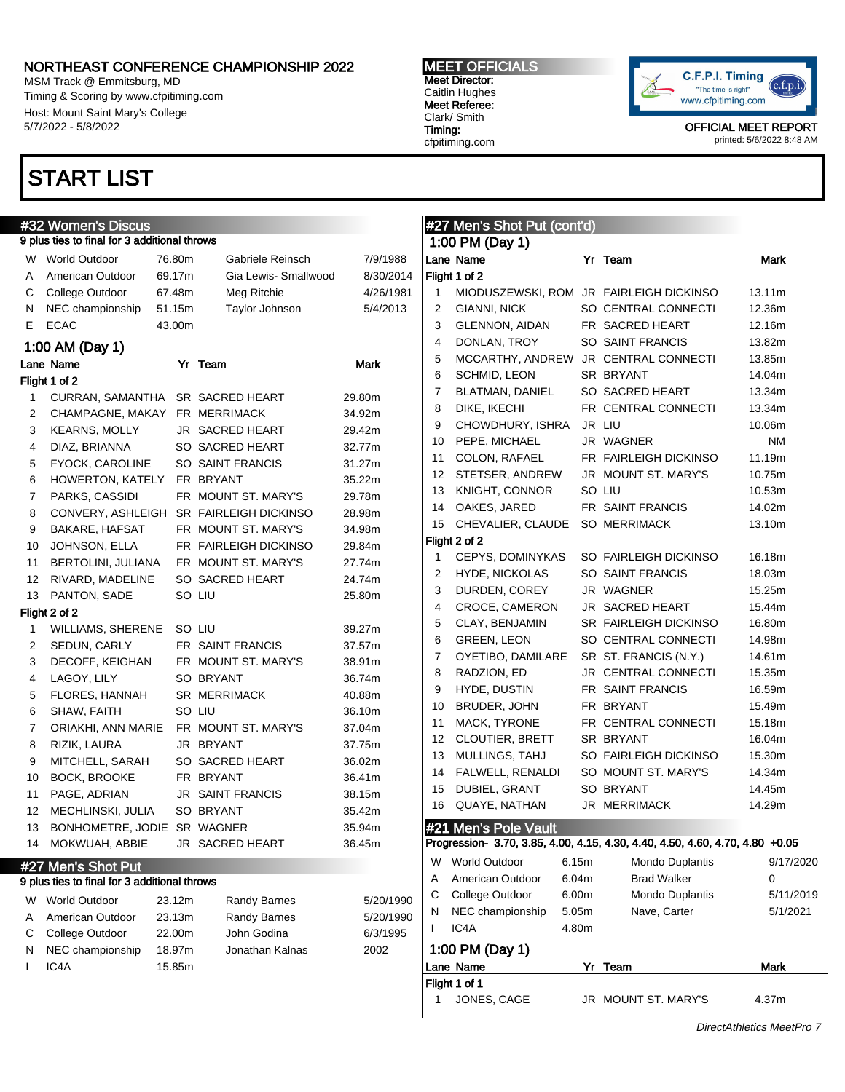MSM Track @ Emmitsburg, MD Timing & Scoring by www.cfpitiming.com Host: Mount Saint Mary's College 5/7/2022 - 5/8/2022

### START LIST

#### #32 Women's Discus 9 plus ties to final for 3 additional throws W World Outdoor 76.80m Gabriele Reinsch 7/9/1988 A American Outdoor 69.17m Gia Lewis- Smallwood 8/30/2014 C College Outdoor 67.48m Meg Ritchie 4/26/1981 N NEC championship 51.15m Taylor Johnson 5/4/2013 E ECAC 43.00m 1:00 AM (Day 1) Lane Name **Mark** Yr Team **Mark** Mark Flight 1 of 2 1 CURRAN, SAMANTHA SR SACRED HEART 29.80m 2 CHAMPAGNE, MAKAY FR MERRIMACK 34.92m 3 KEARNS, MOLLY JR SACRED HEART 29.42m 4 DIAZ, BRIANNA SO SACRED HEART 32.77m 5 FYOCK, CAROLINE SO SAINT FRANCIS 31.27m 6 HOWERTON, KATELY FR BRYANT 35.22m 7 PARKS, CASSIDI FR MOUNT ST. MARY'S 29.78m 8 CONVERY, ASHLEIGH SR FAIRLEIGH DICKINSO 28.98m 9 BAKARE, HAFSAT FR MOUNT ST. MARY'S 34.98m 10 JOHNSON, ELLA FR FAIRLEIGH DICKINSO 29.84m 11 BERTOLINI, JULIANA FR MOUNT ST. MARY'S 27.74m 12 RIVARD, MADELINE SO SACRED HEART 24.74m 13 PANTON, SADE SO LIU 25.80m Flight 2 of 2 1 WILLIAMS, SHERENE SO LIU 39.27m 2 SEDUN, CARLY FR SAINT FRANCIS 37.57m 3 DECOFF, KEIGHAN FR MOUNT ST. MARY'S 38.91m 4 LAGOY, LILY SO BRYANT 36.74m 5 FLORES, HANNAH SR MERRIMACK 40.88m 6 SHAW, FAITH SO LIU 36.10m 7 ORIAKHI, ANN MARIE FR MOUNT ST. MARY'S 37.04m 8 RIZIK, LAURA JR BRYANT 37.75m 9 MITCHELL, SARAH SO SACRED HEART 36.02m 10 BOCK, BROOKE FR BRYANT 36.41m 11 PAGE, ADRIAN JR SAINT FRANCIS 38.15m 12 MECHLINSKI, JULIA SO BRYANT 35.42m 13 BONHOMETRE, JODIE SR WAGNER 35.94m 14 MOKWUAH, ABBIE JR SACRED HEART 36.45m #27 Men's Shot Put 9 plus ties to final for 3 additional throws W World Outdoor 23.12m Randy Barnes 5/20/1990 A American Outdoor 23.13m Randy Barnes 5/20/1990 C College Outdoor 22.00m John Godina 6/3/1995 N NEC championship 18.97m Jonathan Kalnas 2002 I IC4A 15.85m #27 Men's Shot Put (cont'd) 1:00 PM (Day 1) Lane Name **Name** Yr Team **Mark** Flight 1 of 2 1 MIODUSZEWSKI, ROM JR FAIRLEIGH DICKINSO 13.11m 2 GIANNI, NICK SO CENTRAL CONNECTI 12.36m 3 GLENNON, AIDAN FR SACRED HEART 12.16m 4 DONLAN, TROY SO SAINT FRANCIS 13.82m 5 MCCARTHY, ANDREW JR CENTRAL CONNECTI 13.85m 6 SCHMID, LEON SR BRYANT 14.04m 7 BLATMAN, DANIEL SO SACRED HEART 13.34m 8 DIKE, IKECHI FR CENTRAL CONNECTI 13.34m 9 CHOWDHURY, ISHRA JR LIU 10.06m 10 PEPE, MICHAEL JR WAGNER NM 11 COLON, RAFAEL FR FAIRLEIGH DICKINSO 11.19m 12 STETSER, ANDREW JR MOUNT ST. MARY'S 10.75m 13 KNIGHT, CONNOR SO LIU 10.53m 14 OAKES, JARED FR SAINT FRANCIS 14.02m 15 CHEVALIER, CLAUDE SO MERRIMACK 13.10m Flight 2 of 2 1 CEPYS, DOMINYKAS SO FAIRLEIGH DICKINSO 16.18m 2 HYDE, NICKOLAS SO SAINT FRANCIS 18.03m 3 DURDEN, COREY JR WAGNER 15.25m 4 CROCE, CAMERON JR SACRED HEART 15.44m 5 CLAY, BENJAMIN SR FAIRLEIGH DICKINSO 16.80m 6 GREEN, LEON SO CENTRAL CONNECTI 14.98m 7 OYETIBO, DAMILARE SR ST. FRANCIS (N.Y.) 14.61m 8 RADZION, ED JR CENTRAL CONNECTI 15.35m 9 HYDE, DUSTIN FR SAINT FRANCIS 16.59m 10 BRUDER, JOHN FR BRYANT 15.49m 11 MACK, TYRONE FR CENTRAL CONNECTI 15.18m 12 CLOUTIER, BRETT SR BRYANT 16.04m 13 MULLINGS, TAHJ SO FAIRLEIGH DICKINSO 15.30m 14 FALWELL, RENALDI SO MOUNT ST. MARY'S 14.34m 15 DUBIEL, GRANT SO BRYANT 14.45m 16 QUAYE, NATHAN JR MERRIMACK 14.29m #21 Men's Pole Vault Progression- 3.70, 3.85, 4.00, 4.15, 4.30, 4.40, 4.50, 4.60, 4.70, 4.80 +0.05 W World Outdoor 6.15m Mondo Duplantis 9/17/2020 A American Outdoor 6.04m Brad Walker 0 C College Outdoor 6.00m Mondo Duplantis 5/11/2019 N NEC championship 5.05m Nave, Carter 5/1/2021 IC4A 4.80m 1:00 PM (Day 1) Lane Name **Name 1988** Yr Team 1988 Mark

MEET OFFICIALS Meet Director: Caitlin Hughes Meet Referee: Clark/ Smith Timing: cfpitiming.com

Flight 1 of 1



OFFICIAL MEET REPORT printed: 5/6/2022 8:48 AM

JONES, CAGE JR MOUNT ST. MARY'S 4.37m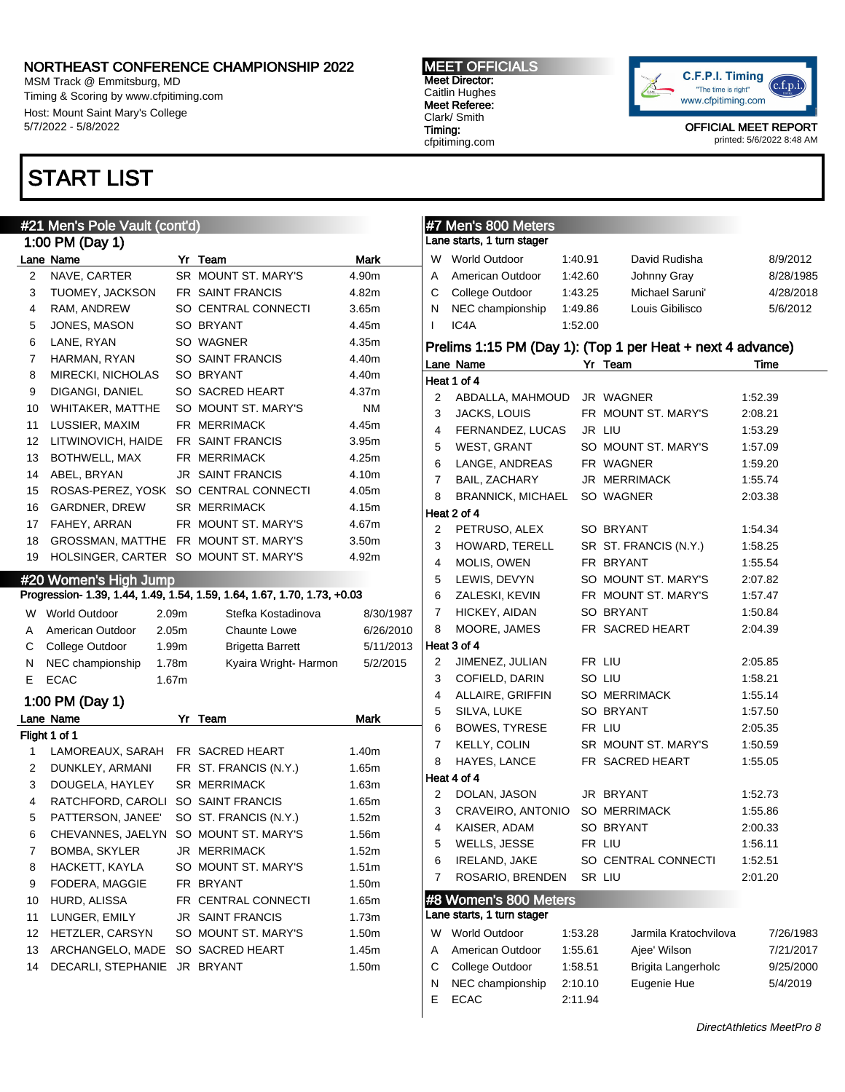MSM Track @ Emmitsburg, MD Timing & Scoring by www.cfpitiming.com Host: Mount Saint Mary's College 5/7/2022 - 5/8/2022

### START LIST

#### #21 Men's Pole Vault (cont'd)

|                   | 1:00 PM (Day 1)          |                         |           |
|-------------------|--------------------------|-------------------------|-----------|
|                   | Lane Name                | Yr Team                 | Mark      |
| $\overline{2}$    | NAVE, CARTER             | SR MOUNT ST. MARY'S     | 4.90m     |
| 3                 | TUOMEY, JACKSON          | FR SAINT FRANCIS        | 4.82m     |
| 4                 | RAM, ANDREW              | SO CENTRAL CONNECTI     | 3.65m     |
| 5                 | JONES, MASON             | SO BRYANT               | 4.45m     |
| 6                 | LANE, RYAN               | SO WAGNER               | 4.35m     |
| $\overline{7}$    | HARMAN, RYAN             | SO SAINT FRANCIS        | 4.40m     |
| 8                 | MIRECKI, NICHOLAS        | SO BRYANT               | 4.40m     |
| 9                 | DIGANGI, DANIEL          | SO SACRED HEART         | 4.37m     |
| 10                | WHITAKER, MATTHE         | SO MOUNT ST. MARY'S     | <b>NM</b> |
| 11                | LUSSIER, MAXIM           | FR MERRIMACK            | 4.45m     |
| $12 \overline{ }$ | LITWINOVICH, HAIDE       | FR SAINT FRANCIS        | 3.95m     |
| 13                | BOTHWELL, MAX            | <b>FR MERRIMACK</b>     | 4.25m     |
| 14                | ABEL, BRYAN              | <b>JR SAINT FRANCIS</b> | 4.10m     |
| 15                | ROSAS-PEREZ, YOSK        | SO CENTRAL CONNECTI     | 4.05m     |
| 16                | GARDNER, DREW            | <b>SR MERRIMACK</b>     | 4.15m     |
| 17                | FAHEY, ARRAN             | FR MOUNT ST. MARY'S     | 4.67m     |
| 18                | GROSSMAN, MATTHE         | FR MOUNT ST. MARY'S     | 3.50m     |
| 19                | <b>HOLSINGER, CARTER</b> | SO MOUNT ST. MARY'S     | 4.92m     |

#### #20 Women's High Jump

#### Progression- 1.39, 1.44, 1.49, 1.54, 1.59, 1.64, 1.67, 1.70, 1.73, +0.03

| W  | <b>World Outdoor</b> | 2.09 <sub>m</sub> | Stefka Kostadinova      | 8/30/1987 |
|----|----------------------|-------------------|-------------------------|-----------|
| A  | American Outdoor     | 2.05m             | <b>Chaunte Lowe</b>     | 6/26/2010 |
|    | C College Outdoor    | 1.99m             | <b>Brigetta Barrett</b> | 5/11/2013 |
| N. | NEC championship     | 1.78m             | Kyaira Wright-Harmon    | 5/2/2015  |
|    | <b>ECAC</b>          | 1.67m             |                         |           |

#### 1:00 PM (Day 1)

|    | Lane Name              | Yr | Team                    | <b>Mark</b>       |
|----|------------------------|----|-------------------------|-------------------|
|    | Flight 1 of 1          |    |                         |                   |
| 1  | LAMOREAUX, SARAH       |    | FR SACRED HEART         | 1.40m             |
| 2  | DUNKLEY, ARMANI        |    | FR ST. FRANCIS (N.Y.)   | 1.65m             |
| 3  | DOUGELA, HAYLEY        |    | <b>SR MERRIMACK</b>     | 1.63m             |
| 4  | RATCHFORD, CAROLI      |    | SO SAINT FRANCIS        | 1.65m             |
| 5  | PATTERSON, JANEE'      |    | SO ST. FRANCIS (N.Y.)   | 1.52m             |
| 6  | CHEVANNES, JAELYN      |    | SO MOUNT ST. MARY'S     | 1.56m             |
| 7  | BOMBA, SKYLER          |    | JR MERRIMACK            | 1.52m             |
| 8  | HACKETT, KAYLA         |    | SO MOUNT ST. MARY'S     | 1.51 <sub>m</sub> |
| 9  | FODERA, MAGGIE         |    | FR BRYANT               | 1.50m             |
| 10 | HURD, ALISSA           |    | FR CENTRAL CONNECTI     | 1.65m             |
| 11 | LUNGER, EMILY          |    | <b>JR SAINT FRANCIS</b> | 1.73m             |
| 12 | <b>HETZLER, CARSYN</b> |    | SO MOUNT ST. MARY'S     | 1.50m             |
| 13 | ARCHANGELO, MADE       |    | SO SACRED HEART         | 1.45m             |
| 14 | DECARLI, STEPHANIE     |    | JR BRYANT               | 1.50m             |

#### MEET OFFICIALS Meet Director: Caitlin Hughes Meet Referee: Clark/ Smith Timing:

cfpitiming.com



OFFICIAL MEET REPORT printed: 5/6/2022 8:48 AM

|                | #7 Men's 800 Meters         |         |                                                            |           |
|----------------|-----------------------------|---------|------------------------------------------------------------|-----------|
|                | Lane starts, 1 turn stager  |         |                                                            |           |
|                | W World Outdoor             | 1:40.91 | David Rudisha                                              | 8/9/2012  |
| Α              | American Outdoor            | 1:42.60 | Johnny Gray                                                | 8/28/1985 |
| С              | College Outdoor             | 1:43.25 | Michael Saruni'                                            | 4/28/2018 |
| Ν              | NEC championship            | 1:49.86 | Louis Gibilisco                                            | 5/6/2012  |
| L              | IC4A                        | 1:52.00 |                                                            |           |
|                |                             |         | Prelims 1:15 PM (Day 1): (Top 1 per Heat + next 4 advance) |           |
|                | Lane Name                   |         | Yr Team                                                    | Time      |
|                | Heat 1 of 4                 |         |                                                            |           |
| 2              | ABDALLA, MAHMOUD JR WAGNER  |         |                                                            | 1:52.39   |
| 3              | JACKS, LOUIS                |         | FR MOUNT ST. MARY'S                                        | 2:08.21   |
| 4              | FERNANDEZ, LUCAS            |         | JR LIU                                                     | 1:53.29   |
| 5              | WEST, GRANT                 |         | SO MOUNT ST. MARY'S                                        | 1:57.09   |
| 6              | LANGE, ANDREAS              |         | FR WAGNER                                                  | 1:59.20   |
| $\overline{7}$ | BAIL, ZACHARY               |         | JR MERRIMACK                                               | 1:55.74   |
| 8              | BRANNICK, MICHAEL SO WAGNER |         |                                                            | 2:03.38   |
|                | Heat 2 of 4                 |         |                                                            |           |
| 2              | PETRUSO, ALEX               |         | SO BRYANT                                                  | 1:54.34   |
| 3              | HOWARD, TERELL              |         | SR ST. FRANCIS (N.Y.)                                      | 1:58.25   |
| 4              | MOLIS, OWEN                 |         | FR BRYANT                                                  | 1:55.54   |
| 5              | LEWIS, DEVYN                |         | SO MOUNT ST. MARY'S                                        | 2:07.82   |
| 6              | ZALESKI, KEVIN              |         | FR MOUNT ST. MARY'S                                        | 1:57.47   |
| 7              | HICKEY, AIDAN               |         | SO BRYANT<br>FR SACRED HEART                               | 1:50.84   |
| 8              | MOORE, JAMES<br>Heat 3 of 4 |         |                                                            | 2:04.39   |
| 2              | JIMENEZ, JULIAN             | FR LIU  |                                                            | 2:05.85   |
| 3              | COFIELD, DARIN              | SO LIU  |                                                            | 1:58.21   |
| 4              | ALLAIRE, GRIFFIN            |         | SO MERRIMACK                                               | 1:55.14   |
| 5              | SILVA, LUKE                 |         | SO BRYANT                                                  | 1:57.50   |
| 6              | BOWES, TYRESE               | FR LIU  |                                                            | 2:05.35   |
| 7              | KELLY, COLIN                |         | SR MOUNT ST. MARY'S                                        | 1:50.59   |
| 8              | HAYES, LANCE                |         | FR SACRED HEART                                            | 1:55.05   |
|                | Heat 4 of 4                 |         |                                                            |           |
| 2              | DOLAN, JASON                |         | JR BRYANT                                                  | 1:52.73   |
| 3              | CRAVEIRO, ANTONIO           |         | <b>SO MERRIMACK</b>                                        | 1:55.86   |
|                | 4 KAISER, ADAM              |         | SO BRYANT                                                  | 2:00.33   |
| 5              | WELLS, JESSE                |         | FR LIU                                                     | 1:56.11   |
| 6              | IRELAND, JAKE               |         | SO CENTRAL CONNECTI                                        | 1:52.51   |
| 7              | ROSARIO, BRENDEN            |         | SR LIU                                                     | 2:01.20   |
|                | #8 Women's 800 Meters       |         |                                                            |           |
|                | Lane starts, 1 turn stager  |         |                                                            |           |
| W              | <b>World Outdoor</b>        | 1:53.28 | Jarmila Kratochvilova                                      | 7/26/1983 |
| Α              | American Outdoor            | 1:55.61 | Ajee' Wilson                                               | 7/21/2017 |
| C              | College Outdoor             | 1:58.51 | Brigita Langerholc                                         | 9/25/2000 |

N NEC championship 2:10.10 Eugenie Hue 5/4/2019

E ECAC 2:11.94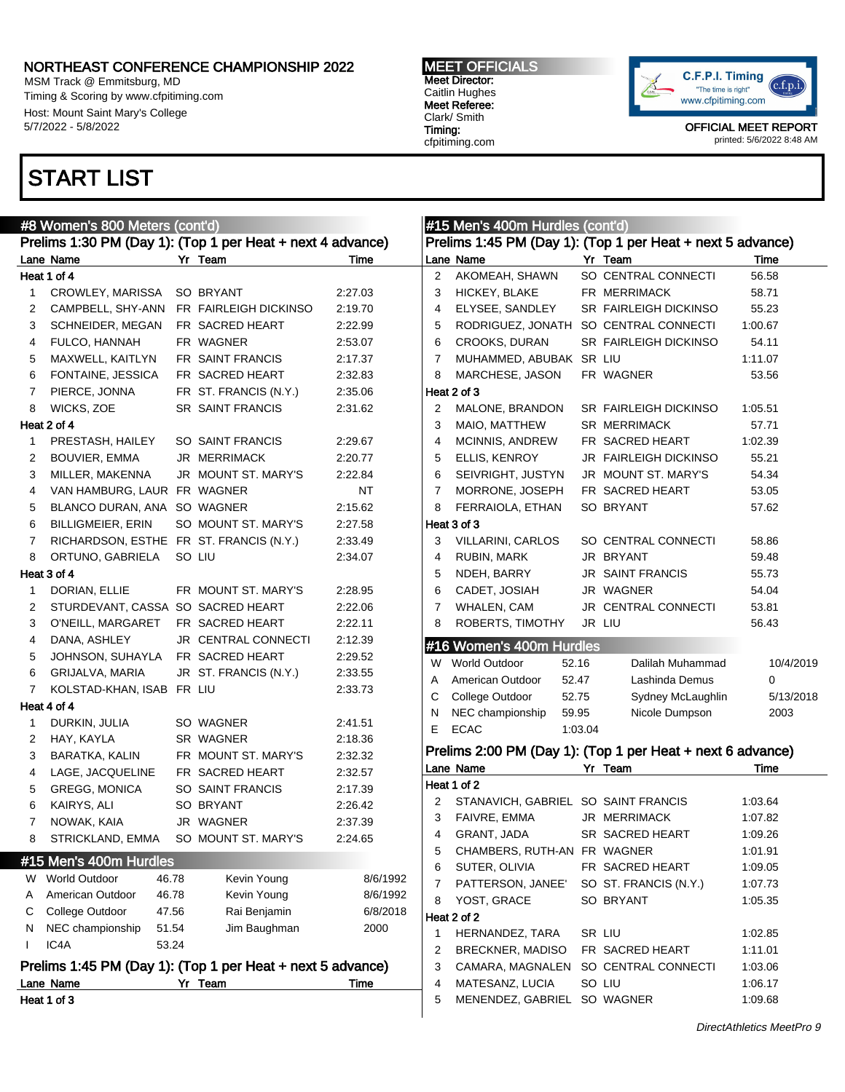MSM Track @ Emmitsburg, MD Timing & Scoring by www.cfpitiming.com Host: Mount Saint Mary's College 5/7/2022 - 5/8/2022

# START LIST

#### MEET OFFICIALS Meet Director: Caitlin Hughes Meet Referee: Clark/ Smith Timing: cfpitiming.com



|    | #8 Women's 800 Meters (cont'd)          |       |                                                            |          |                | #15 Men's 400m Hurdles (cont'd)       |         |                                                            |           |
|----|-----------------------------------------|-------|------------------------------------------------------------|----------|----------------|---------------------------------------|---------|------------------------------------------------------------|-----------|
|    |                                         |       | Prelims 1:30 PM (Day 1): (Top 1 per Heat + next 4 advance) |          |                |                                       |         | Prelims 1:45 PM (Day 1): (Top 1 per Heat + next 5 advance) |           |
|    | Lane Name                               |       | Yr Team                                                    | Time     |                | Lane Name                             |         | Yr Team                                                    | Time      |
|    | Heat 1 of 4                             |       |                                                            |          | $\overline{2}$ | AKOMEAH, SHAWN                        |         | SO CENTRAL CONNECTI                                        | 56.58     |
| 1  | CROWLEY, MARISSA                        |       | SO BRYANT                                                  | 2:27.03  | 3              | HICKEY, BLAKE                         |         | FR MERRIMACK                                               | 58.71     |
| 2  | CAMPBELL, SHY-ANN                       |       | FR FAIRLEIGH DICKINSO                                      | 2:19.70  | 4              | ELYSEE, SANDLEY                       |         | SR FAIRLEIGH DICKINSO                                      | 55.23     |
| 3  | SCHNEIDER, MEGAN                        |       | FR SACRED HEART                                            | 2:22.99  | 5              | RODRIGUEZ, JONATH SO CENTRAL CONNECTI |         |                                                            | 1:00.67   |
| 4  | FULCO, HANNAH                           |       | FR WAGNER                                                  | 2:53.07  | 6              | CROOKS, DURAN                         |         | <b>SR FAIRLEIGH DICKINSO</b>                               | 54.11     |
| 5  | MAXWELL, KAITLYN                        |       | FR SAINT FRANCIS                                           | 2:17.37  | 7              | MUHAMMED, ABUBAK SR LIU               |         |                                                            | 1:11.07   |
| 6  | FONTAINE, JESSICA                       |       | FR SACRED HEART                                            | 2:32.83  | 8              | MARCHESE, JASON                       |         | FR WAGNER                                                  | 53.56     |
| 7  | PIERCE, JONNA                           |       | FR ST. FRANCIS (N.Y.)                                      | 2:35.06  |                | Heat 2 of 3                           |         |                                                            |           |
| 8  | WICKS, ZOE                              |       | <b>SR SAINT FRANCIS</b>                                    | 2:31.62  | 2              | MALONE, BRANDON                       |         | <b>SR FAIRLEIGH DICKINSO</b>                               | 1:05.51   |
|    | Heat 2 of 4                             |       |                                                            |          | 3              | MAIO, MATTHEW                         |         | <b>SR MERRIMACK</b>                                        | 57.71     |
| 1  | PRESTASH, HAILEY                        |       | SO SAINT FRANCIS                                           | 2:29.67  | $\overline{4}$ | <b>MCINNIS, ANDREW</b>                |         | FR SACRED HEART                                            | 1:02.39   |
| 2  | BOUVIER, EMMA                           |       | JR MERRIMACK                                               | 2:20.77  | 5              | ELLIS, KENROY                         |         | JR FAIRLEIGH DICKINSO                                      | 55.21     |
| 3  | MILLER, MAKENNA                         |       | JR MOUNT ST. MARY'S                                        | 2:22.84  | 6              | SEIVRIGHT, JUSTYN                     |         | JR MOUNT ST. MARY'S                                        | 54.34     |
| 4  | VAN HAMBURG, LAUR FR WAGNER             |       |                                                            | NT       | 7              | MORRONE, JOSEPH                       |         | FR SACRED HEART                                            | 53.05     |
| 5  | BLANCO DURAN, ANA SO WAGNER             |       |                                                            | 2:15.62  | 8              | FERRAIOLA, ETHAN                      |         | SO BRYANT                                                  | 57.62     |
| 6  | <b>BILLIGMEIER, ERIN</b>                |       | SO MOUNT ST. MARY'S                                        | 2:27.58  |                | Heat 3 of 3                           |         |                                                            |           |
| 7  | RICHARDSON, ESTHE FR ST. FRANCIS (N.Y.) |       |                                                            | 2:33.49  | 3              | <b>VILLARINI, CARLOS</b>              |         | SO CENTRAL CONNECTI                                        | 58.86     |
| 8  | ORTUNO, GABRIELA                        |       | SO LIU                                                     | 2:34.07  | 4              | RUBIN, MARK                           |         | JR BRYANT                                                  | 59.48     |
|    | Heat 3 of 4                             |       |                                                            |          | 5              | NDEH, BARRY                           |         | <b>JR SAINT FRANCIS</b>                                    | 55.73     |
| 1  | DORIAN, ELLIE                           |       | FR MOUNT ST. MARY'S                                        | 2:28.95  | 6              | CADET, JOSIAH                         |         | JR WAGNER                                                  | 54.04     |
| 2  | STURDEVANT, CASSA SO SACRED HEART       |       |                                                            | 2:22.06  | 7              | <b>WHALEN, CAM</b>                    |         | JR CENTRAL CONNECTI                                        | 53.81     |
| 3  | O'NEILL, MARGARET                       |       | FR SACRED HEART                                            | 2:22.11  | 8              | ROBERTS, TIMOTHY                      |         | JR LIU                                                     | 56.43     |
| 4  | DANA, ASHLEY                            |       | JR CENTRAL CONNECTI                                        | 2:12.39  |                |                                       |         |                                                            |           |
| 5  | JOHNSON, SUHAYLA                        |       | FR SACRED HEART                                            | 2:29.52  |                | #16 Women's 400m Hurdles              |         |                                                            |           |
| 6  | GRIJALVA, MARIA                         |       | JR ST. FRANCIS (N.Y.)                                      | 2:33.55  | W              | World Outdoor                         | 52.16   | Dalilah Muhammad                                           | 10/4/2019 |
| 7  | KOLSTAD-KHAN, ISAB FR LIU               |       |                                                            | 2:33.73  | Α              | American Outdoor                      | 52.47   | Lashinda Demus                                             | 0         |
|    | Heat 4 of 4                             |       |                                                            |          | С              | College Outdoor                       | 52.75   | Sydney McLaughlin                                          | 5/13/2018 |
| 1  | DURKIN, JULIA                           |       | SO WAGNER                                                  | 2:41.51  | N              | NEC championship                      | 59.95   | Nicole Dumpson                                             | 2003      |
| 2  | HAY, KAYLA                              |       | SR WAGNER                                                  | 2:18.36  | Е              | <b>ECAC</b>                           | 1:03.04 |                                                            |           |
| 3  | <b>BARATKA, KALIN</b>                   |       | FR MOUNT ST. MARY'S                                        | 2:32.32  |                |                                       |         | Prelims 2:00 PM (Day 1): (Top 1 per Heat + next 6 advance) |           |
| 4  | LAGE, JACQUELINE                        |       | FR SACRED HEART                                            | 2:32.57  |                | Lane Name                             |         | Yr Team                                                    | Time      |
| 5  | <b>GREGG, MONICA</b>                    |       | SO SAINT FRANCIS                                           | 2:17.39  |                | Heat 1 of 2                           |         |                                                            |           |
| 6  | KAIRYS, ALI                             |       | SO BRYANT                                                  | 2:26.42  | 2              | STANAVICH, GABRIEL SO SAINT FRANCIS   |         |                                                            | 1:03.64   |
| 7  | NOWAK, KAIA                             |       | JR WAGNER                                                  | 2:37.39  | 3              | FAIVRE, EMMA                          |         | <b>JR MERRIMACK</b>                                        | 1:07.82   |
| 8  | STRICKLAND, EMMA SO MOUNT ST. MARY'S    |       |                                                            | 2:24.65  | 4              | GRANT, JADA                           |         | SR SACRED HEART                                            | 1:09.26   |
|    |                                         |       |                                                            |          | 5              | CHAMBERS, RUTH-AN FR WAGNER           |         |                                                            | 1:01.91   |
|    | #15 Men's 400m Hurdles                  |       |                                                            |          | 6              | SUTER, OLIVIA                         |         | FR SACRED HEART                                            | 1:09.05   |
| W  | <b>World Outdoor</b>                    | 46.78 | Kevin Young                                                | 8/6/1992 | 7              | PATTERSON, JANEE'                     |         | SO ST. FRANCIS (N.Y.)                                      | 1:07.73   |
| Α  | American Outdoor                        | 46.78 | Kevin Young                                                | 8/6/1992 | 8              | YOST, GRACE                           |         | SO BRYANT                                                  | 1:05.35   |
| С  | College Outdoor                         | 47.56 | Rai Benjamin                                               | 6/8/2018 |                | Heat 2 of 2                           |         |                                                            |           |
| N  | NEC championship                        | 51.54 | Jim Baughman                                               | 2000     | 1              | HERNANDEZ, TARA                       |         | SR LIU                                                     | 1:02.85   |
| Ι. | IC4A                                    | 53.24 |                                                            |          | 2              | <b>BRECKNER, MADISO</b>               |         | FR SACRED HEART                                            | 1:11.01   |
|    |                                         |       | Prelims 1:45 PM (Day 1): (Top 1 per Heat + next 5 advance) |          | 3              | CAMARA, MAGNALEN                      |         | SO CENTRAL CONNECTI                                        | 1:03.06   |
|    | Lane Name                               |       | Yr Team                                                    | Time     | 4              | MATESANZ, LUCIA                       |         | SO LIU                                                     | 1:06.17   |
|    | Heat 1 of 3                             |       |                                                            |          | 5              | MENENDEZ, GABRIEL SO WAGNER           |         |                                                            | 1:09.68   |
|    |                                         |       |                                                            |          |                |                                       |         |                                                            |           |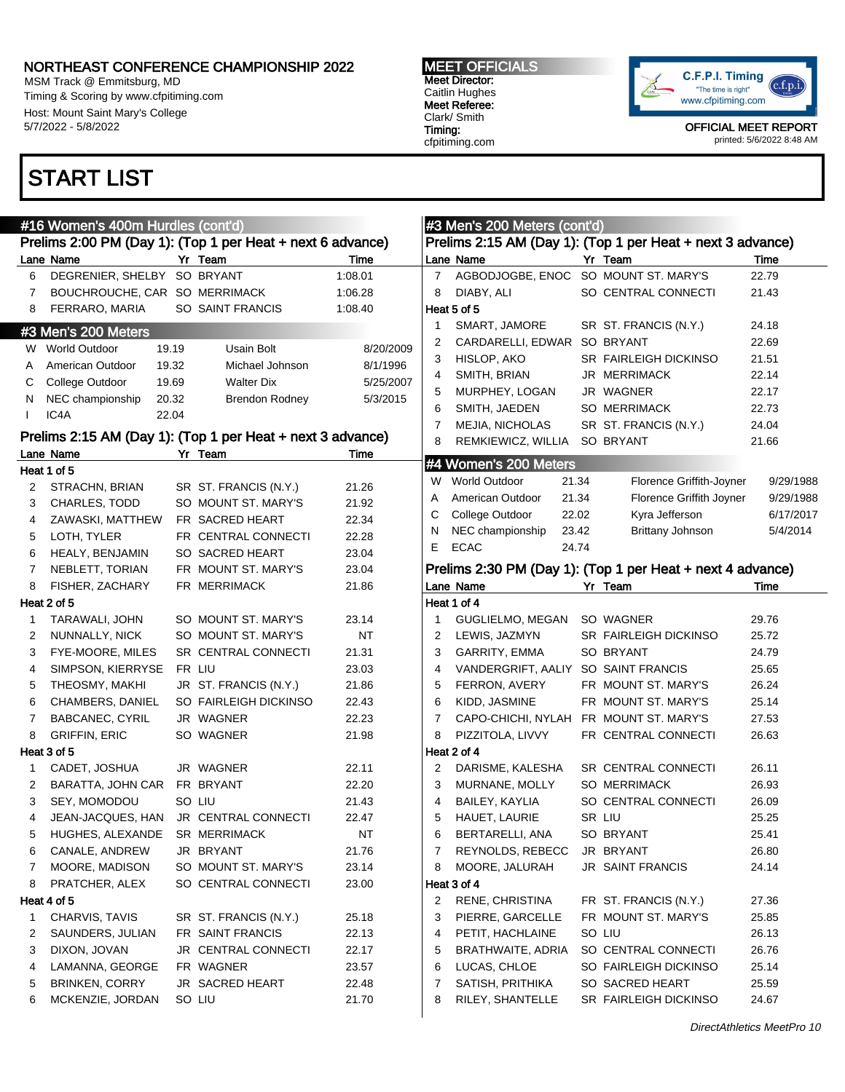MSM Track @ Emmitsburg, MD Timing & Scoring by www.cfpitiming.com Host: Mount Saint Mary's College 5/7/2022 - 5/8/2022

#### MEET OFFICIALS Meet Director: Caitlin Hughes Meet Referee: Clark/ Smith Timing: cfpitiming.com



OFFICIAL MEET REPORT printed: 5/6/2022 8:48 AM

### START LIST

|              | #16 Women's 400m Hurdles (cont'd) |                                                            |           |                | #3 Men's 200 Meters (cont'd)           |       |                                                            |           |
|--------------|-----------------------------------|------------------------------------------------------------|-----------|----------------|----------------------------------------|-------|------------------------------------------------------------|-----------|
|              |                                   | Prelims 2:00 PM (Day 1): (Top 1 per Heat + next 6 advance) |           |                |                                        |       | Prelims 2:15 AM (Day 1): (Top 1 per Heat + next 3 advance) |           |
|              | Lane Name                         | Yr Team                                                    | Time      |                | Lane Name                              |       | Yr Team                                                    | Time      |
| 6            | DEGRENIER, SHELBY SO BRYANT       |                                                            | 1:08.01   | $\overline{7}$ | AGBODJOGBE, ENOC SO MOUNT ST. MARY'S   |       |                                                            | 22.79     |
| 7            | BOUCHROUCHE, CAR SO MERRIMACK     |                                                            | 1:06.28   | 8              | DIABY, ALI                             |       | SO CENTRAL CONNECTI                                        | 21.43     |
| 8            | FERRARO, MARIA                    | SO SAINT FRANCIS                                           | 1:08.40   |                | Heat 5 of 5                            |       |                                                            |           |
|              | #3 Men's 200 Meters               |                                                            |           | 1              | SMART, JAMORE                          |       | SR ST. FRANCIS (N.Y.)                                      | 24.18     |
|              | W World Outdoor<br>19.19          | Usain Bolt                                                 | 8/20/2009 | 2              | CARDARELLI, EDWAR SO BRYANT            |       |                                                            | 22.69     |
| A            | 19.32<br>American Outdoor         | Michael Johnson                                            | 8/1/1996  | 3              | HISLOP, AKO                            |       | <b>SR FAIRLEIGH DICKINSO</b>                               | 21.51     |
| C            | 19.69<br>College Outdoor          | <b>Walter Dix</b>                                          | 5/25/2007 | 4              | SMITH, BRIAN                           |       | <b>JR MERRIMACK</b>                                        | 22.14     |
| N            | NEC championship<br>20.32         | <b>Brendon Rodney</b>                                      | 5/3/2015  |                | MURPHEY, LOGAN                         |       | JR WAGNER                                                  | 22.17     |
| $\mathbf{I}$ | IC4A<br>22.04                     |                                                            |           | 6              | SMITH, JAEDEN                          |       | <b>SO MERRIMACK</b>                                        | 22.73     |
|              |                                   | Prelims 2:15 AM (Day 1): (Top 1 per Heat + next 3 advance) |           | 7              | MEJIA, NICHOLAS                        |       | SR ST. FRANCIS (N.Y.)                                      | 24.04     |
|              | Lane Name                         | Yr Team                                                    | Time      | 8              | REMKIEWICZ, WILLIA SO BRYANT           |       |                                                            | 21.66     |
|              | Heat 1 of 5                       |                                                            |           |                | #4 Women's 200 Meters                  |       |                                                            |           |
| 2            | STRACHN, BRIAN                    | SR ST. FRANCIS (N.Y.)                                      | 21.26     | W              | <b>World Outdoor</b>                   | 21.34 | Florence Griffith-Joyner                                   | 9/29/1988 |
| 3            | <b>CHARLES, TODD</b>              | SO MOUNT ST. MARY'S                                        | 21.92     | Α              | American Outdoor                       | 21.34 | Florence Griffith Joyner                                   | 9/29/1988 |
| 4            | ZAWASKI, MATTHEW                  | FR SACRED HEART                                            | 22.34     | C              | College Outdoor                        | 22.02 | Kyra Jefferson                                             | 6/17/2017 |
| 5            | LOTH, TYLER                       | FR CENTRAL CONNECTI                                        | 22.28     | N              | NEC championship                       | 23.42 | <b>Brittany Johnson</b>                                    | 5/4/2014  |
| 6            | HEALY, BENJAMIN                   | SO SACRED HEART                                            | 23.04     | E              | <b>ECAC</b>                            | 24.74 |                                                            |           |
| 7            | NEBLETT, TORIAN                   | FR MOUNT ST. MARY'S                                        | 23.04     |                |                                        |       | Prelims 2:30 PM (Day 1): (Top 1 per Heat + next 4 advance) |           |
| 8            | FISHER, ZACHARY                   | FR MERRIMACK                                               | 21.86     |                | Lane Name                              |       | Yr Team                                                    | Time      |
|              | Heat 2 of 5                       |                                                            |           |                | Heat 1 of 4                            |       |                                                            |           |
| 1            | TARAWALI, JOHN                    | SO MOUNT ST. MARY'S                                        | 23.14     | 1              | GUGLIELMO, MEGAN                       |       | SO WAGNER                                                  | 29.76     |
| 2            | NUNNALLY, NICK                    | SO MOUNT ST. MARY'S                                        | NT        | 2              | LEWIS, JAZMYN                          |       | <b>SR FAIRLEIGH DICKINSO</b>                               | 25.72     |
| 3            | FYE-MOORE, MILES                  | SR CENTRAL CONNECTI                                        | 21.31     | 3              | <b>GARRITY, EMMA</b>                   |       | SO BRYANT                                                  | 24.79     |
| 4            | SIMPSON, KIERRYSE                 | FR LIU                                                     | 23.03     | 4              | VANDERGRIFT, AALIY SO SAINT FRANCIS    |       |                                                            | 25.65     |
| 5            | THEOSMY, MAKHI                    | JR ST. FRANCIS (N.Y.)                                      | 21.86     | 5              | FERRON, AVERY                          |       | FR MOUNT ST. MARY'S                                        | 26.24     |
| 6            | CHAMBERS, DANIEL                  | SO FAIRLEIGH DICKINSO                                      | 22.43     | 6              | KIDD, JASMINE                          |       | FR MOUNT ST. MARY'S                                        | 25.14     |
| 7            | <b>BABCANEC, CYRIL</b>            | JR WAGNER                                                  | 22.23     | 7              | CAPO-CHICHI, NYLAH FR MOUNT ST. MARY'S |       |                                                            | 27.53     |
| 8            | <b>GRIFFIN, ERIC</b>              | SO WAGNER                                                  | 21.98     | 8              | PIZZITOLA, LIVVY                       |       | FR CENTRAL CONNECTI                                        | 26.63     |
|              | Heat 3 of 5                       |                                                            |           |                | Heat 2 of 4                            |       |                                                            |           |
| 1            | CADET, JOSHUA                     | JR WAGNER                                                  | 22.11     | 2              | DARISME, KALESHA                       |       | SR CENTRAL CONNECTI                                        | 26.11     |
| 2            | BARATTA, JOHN CAR                 | FR BRYANT                                                  | 22.20     | 3              | MURNANE, MOLLY                         |       | <b>SO MERRIMACK</b>                                        | 26.93     |
| 3            | SEY, MOMODOU                      | SO LIU                                                     | 21.43     | 4              | BAILEY, KAYLIA                         |       | SO CENTRAL CONNECTI                                        | 26.09     |
| 4            | JEAN-JACQUES, HAN                 | <b>JR CENTRAL CONNECTI</b>                                 | 22.47     | 5              | HAUET, LAURIE                          |       | SR LIU                                                     | 25.25     |
| 5            | HUGHES, ALEXANDE SR MERRIMACK     |                                                            | $\sf{NT}$ | 6              | BERTARELLI, ANA                        |       | SO BRYANT                                                  | 25.41     |
| 6            | CANALE, ANDREW                    | JR BRYANT                                                  | 21.76     | 7              | REYNOLDS, REBECC                       |       | JR BRYANT                                                  | 26.80     |
| 7            | MOORE, MADISON                    | SO MOUNT ST. MARY'S                                        | 23.14     | 8              | MOORE, JALURAH                         |       | <b>JR SAINT FRANCIS</b>                                    | 24.14     |
| 8            | PRATCHER, ALEX                    | SO CENTRAL CONNECTI                                        | 23.00     |                | Heat 3 of 4                            |       |                                                            |           |
|              | Heat 4 of 5                       |                                                            |           | 2              | RENE, CHRISTINA                        |       | FR ST. FRANCIS (N.Y.)                                      | 27.36     |
| 1            | CHARVIS, TAVIS                    | SR ST. FRANCIS (N.Y.)                                      | 25.18     | 3              | PIERRE, GARCELLE                       |       | FR MOUNT ST. MARY'S                                        | 25.85     |
| 2            | SAUNDERS, JULIAN                  | FR SAINT FRANCIS                                           | 22.13     | 4              | PETIT, HACHLAINE                       |       | SO LIU                                                     | 26.13     |
| 3            | DIXON, JOVAN                      | JR CENTRAL CONNECTI                                        | 22.17     | 5              | <b>BRATHWAITE, ADRIA</b>               |       | SO CENTRAL CONNECTI                                        | 26.76     |
| 4            | LAMANNA, GEORGE                   | FR WAGNER                                                  | 23.57     | 6              | LUCAS, CHLOE                           |       | SO FAIRLEIGH DICKINSO                                      | 25.14     |
| 5            | <b>BRINKEN, CORRY</b>             | JR SACRED HEART                                            | 22.48     | 7              | SATISH, PRITHIKA                       |       | SO SACRED HEART                                            | 25.59     |
| 6            | MCKENZIE, JORDAN                  | SO LIU                                                     | 21.70     | 8              | RILEY, SHANTELLE                       |       | SR FAIRLEIGH DICKINSO                                      | 24.67     |
|              |                                   |                                                            |           |                |                                        |       |                                                            |           |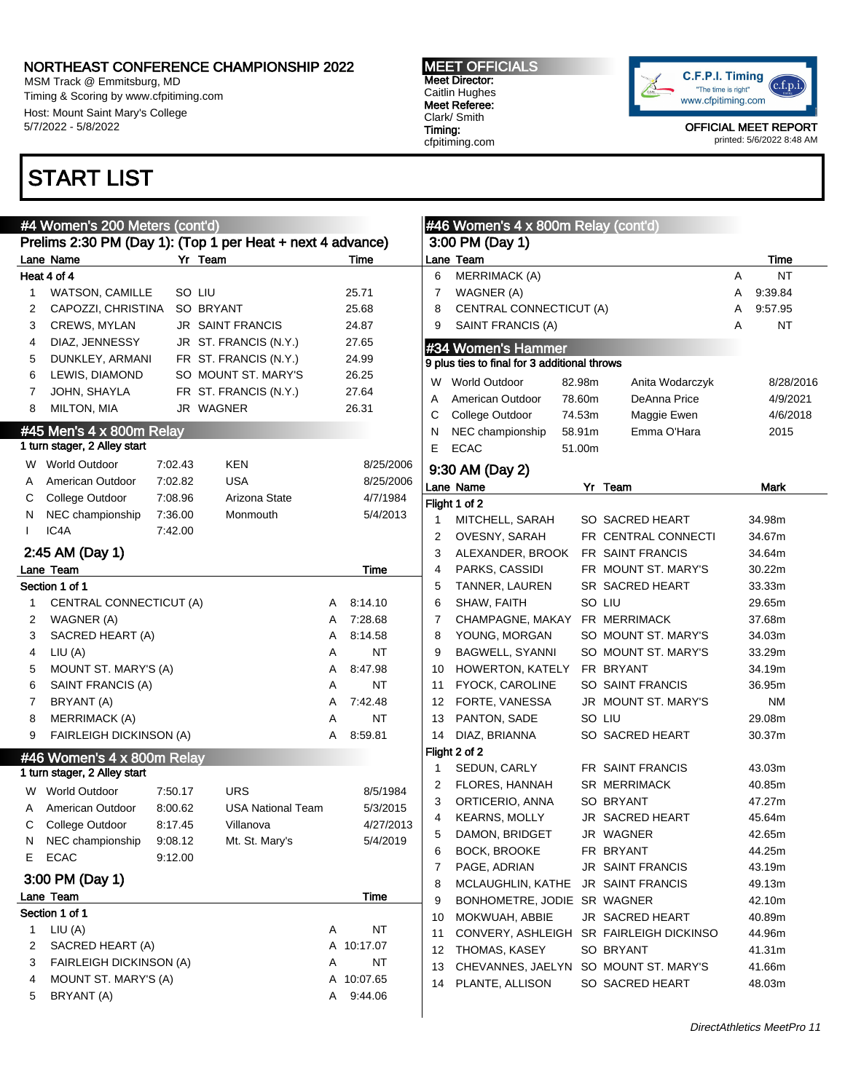MSM Track @ Emmitsburg, MD Timing & Scoring by www.cfpitiming.com Host: Mount Saint Mary's College 5/7/2022 - 5/8/2022

## START LIST

MEET OFFICIALS Meet Director: Caitlin Hughes Meet Referee: Clark/ Smith Timing: cfpitiming.com



OFFICIAL MEET REPORT printed: 5/6/2022 8:48 AM

|   | #4 Women's 200 Meters (cont'd)                           |         |                                                            |   |             |    | $\#46$ Women's 4 x 800m Relay (cont'd)       |        |                                         |   |           |
|---|----------------------------------------------------------|---------|------------------------------------------------------------|---|-------------|----|----------------------------------------------|--------|-----------------------------------------|---|-----------|
|   |                                                          |         | Prelims 2:30 PM (Day 1): (Top 1 per Heat + next 4 advance) |   |             |    | 3:00 PM (Day 1)                              |        |                                         |   |           |
|   | Lane Name                                                |         | Yr Team                                                    |   | Time        |    | Lane Team                                    |        |                                         |   | Time      |
|   | Heat 4 of 4                                              |         |                                                            |   |             | 6  | <b>MERRIMACK (A)</b>                         |        |                                         | A | <b>NT</b> |
| 1 | <b>WATSON, CAMILLE</b>                                   |         | SO LIU                                                     |   | 25.71       | 7  | WAGNER (A)                                   |        |                                         | A | 9:39.84   |
| 2 | CAPOZZI, CHRISTINA                                       |         | SO BRYANT                                                  |   | 25.68       | 8  | CENTRAL CONNECTICUT (A)                      |        |                                         | Α | 9:57.95   |
| 3 | CREWS, MYLAN                                             |         | <b>JR SAINT FRANCIS</b>                                    |   | 24.87       | 9  | SAINT FRANCIS (A)                            |        |                                         | A | <b>NT</b> |
| 4 | DIAZ, JENNESSY                                           |         | JR ST. FRANCIS (N.Y.)                                      |   | 27.65       |    | #34 Women's Hammer                           |        |                                         |   |           |
| 5 | DUNKLEY, ARMANI                                          |         | FR ST. FRANCIS (N.Y.)                                      |   | 24.99       |    | 9 plus ties to final for 3 additional throws |        |                                         |   |           |
| 6 | LEWIS, DIAMOND                                           |         | SO MOUNT ST. MARY'S                                        |   | 26.25       |    |                                              |        |                                         |   |           |
| 7 | JOHN, SHAYLA                                             |         | FR ST. FRANCIS (N.Y.)                                      |   | 27.64       | W  | <b>World Outdoor</b>                         | 82.98m | Anita Wodarczyk                         |   | 8/28/2016 |
| 8 | MILTON, MIA                                              |         | JR WAGNER                                                  |   | 26.31       | A  | American Outdoor                             | 78.60m | DeAnna Price                            |   | 4/9/2021  |
|   |                                                          |         |                                                            |   |             | С  | College Outdoor                              | 74.53m | Maggie Ewen                             |   | 4/6/2018  |
|   | #45 Men's 4 x 800m Relay<br>1 turn stager, 2 Alley start |         |                                                            |   |             | N  | NEC championship                             | 58.91m | Emma O'Hara                             |   | 2015      |
|   |                                                          |         |                                                            |   |             | E  | <b>ECAC</b>                                  | 51.00m |                                         |   |           |
| W | <b>World Outdoor</b>                                     | 7:02.43 | <b>KEN</b>                                                 |   | 8/25/2006   |    | 9:30 AM (Day 2)                              |        |                                         |   |           |
| A | American Outdoor                                         | 7:02.82 | <b>USA</b>                                                 |   | 8/25/2006   |    | Lane Name                                    |        | Yr Team                                 |   | Mark      |
| С | College Outdoor                                          | 7:08.96 | Arizona State                                              |   | 4/7/1984    |    | Flight 1 of 2                                |        |                                         |   |           |
| N | NEC championship                                         | 7:36.00 | Monmouth                                                   |   | 5/4/2013    |    | MITCHELL, SARAH                              |        | SO SACRED HEART                         |   | 34.98m    |
|   | IC4A                                                     | 7:42.00 |                                                            |   |             | 2  | OVESNY, SARAH                                |        | FR CENTRAL CONNECTI                     |   | 34.67m    |
|   | 2:45 AM (Day 1)                                          |         |                                                            |   |             | 3  | ALEXANDER, BROOK                             |        | <b>FR SAINT FRANCIS</b>                 |   | 34.64m    |
|   | Lane Team                                                |         |                                                            |   | <b>Time</b> | 4  | PARKS, CASSIDI                               |        | FR MOUNT ST. MARY'S                     |   | 30.22m    |
|   | Section 1 of 1                                           |         |                                                            |   |             | 5  | TANNER, LAUREN                               |        | SR SACRED HEART                         |   | 33.33m    |
|   | CENTRAL CONNECTICUT (A)                                  |         |                                                            | A | 8:14.10     | 6  | SHAW, FAITH                                  |        | SO LIU                                  |   | 29.65m    |
| 2 | WAGNER (A)                                               |         |                                                            | A | 7:28.68     | 7  | CHAMPAGNE, MAKAY                             |        | FR MERRIMACK                            |   | 37.68m    |
| 3 | SACRED HEART (A)                                         |         |                                                            | A | 8:14.58     | 8  | YOUNG, MORGAN                                |        | SO MOUNT ST. MARY'S                     |   | 34.03m    |
| 4 | LIU (A)                                                  |         |                                                            | A | NT          | 9  | <b>BAGWELL, SYANNI</b>                       |        | SO MOUNT ST. MARY'S                     |   | 33.29m    |
| 5 | MOUNT ST. MARY'S (A)                                     |         |                                                            | A | 8:47.98     | 10 | HOWERTON, KATELY                             |        | FR BRYANT                               |   | 34.19m    |
| 6 | SAINT FRANCIS (A)                                        |         |                                                            | A | NT          | 11 | FYOCK, CAROLINE                              |        | SO SAINT FRANCIS                        |   | 36.95m    |
| 7 | BRYANT (A)                                               |         |                                                            | A | 7:42.48     | 12 | FORTE, VANESSA                               |        | JR MOUNT ST. MARY'S                     |   | ΝM        |
| 8 | <b>MERRIMACK (A)</b>                                     |         |                                                            | A | NT          | 13 | PANTON, SADE                                 |        | SO LIU                                  |   | 29.08m    |
| 9 | FAIRLEIGH DICKINSON (A)                                  |         |                                                            | A | 8:59.81     | 14 | DIAZ, BRIANNA                                |        | SO SACRED HEART                         |   | 30.37m    |
|   | #46 Women's 4 x 800m Relay                               |         |                                                            |   |             |    | Flight 2 of 2                                |        |                                         |   |           |
|   | 1 turn stager, 2 Alley start                             |         |                                                            |   |             |    | SEDUN, CARLY                                 |        | FR SAINT FRANCIS                        |   | 43.03m    |
|   | <b>World Outdoor</b>                                     | 7:50.17 | <b>URS</b>                                                 |   | 8/5/1984    | 2  | FLORES, HANNAH                               |        | <b>SR MERRIMACK</b>                     |   | 40.85m    |
| W |                                                          |         |                                                            |   |             | 3  | ORTICERIO, ANNA                              |        | <b>SO BRYANT</b>                        |   | 47.27m    |
| С | American Outdoor                                         | 8:00.62 | <b>USA National Team</b>                                   |   | 5/3/2015    | 4  | <b>KEARNS, MOLLY</b>                         |        | JR SACRED HEART                         |   | 45.64m    |
|   | College Outdoor                                          | 8:17.45 | Villanova                                                  |   | 4/27/2013   | 5  | DAMON, BRIDGET                               |        | JR WAGNER                               |   | 42.65m    |
| N | NEC championship                                         | 9:08.12 | Mt. St. Mary's                                             |   | 5/4/2019    | 6  | BOCK, BROOKE                                 |        | FR BRYANT                               |   | 44.25m    |
| Е | <b>ECAC</b>                                              | 9:12.00 |                                                            |   |             | 7  | PAGE, ADRIAN                                 |        | <b>JR SAINT FRANCIS</b>                 |   | 43.19m    |
|   | 3:00 PM (Day 1)                                          |         |                                                            |   |             | 8  | MCLAUGHLIN, KATHE                            |        | JR SAINT FRANCIS                        |   | 49.13m    |
|   | Lane Team                                                |         |                                                            |   | Time        | 9  | BONHOMETRE, JODIE SR WAGNER                  |        |                                         |   | 42.10m    |
|   | Section 1 of 1                                           |         |                                                            |   |             | 10 | MOKWUAH, ABBIE                               |        | JR SACRED HEART                         |   | 40.89m    |
|   | 1 $LIU(A)$                                               |         |                                                            | Α | NT          | 11 |                                              |        | CONVERY, ASHLEIGH SR FAIRLEIGH DICKINSO |   | 44.96m    |
| 2 | SACRED HEART (A)                                         |         |                                                            |   | A 10:17.07  | 12 | THOMAS, KASEY                                |        | SO BRYANT                               |   | 41.31m    |
| 3 | <b>FAIRLEIGH DICKINSON (A)</b>                           |         |                                                            | Α | NT          | 13 | CHEVANNES, JAELYN                            |        | SO MOUNT ST. MARY'S                     |   | 41.66m    |
| 4 | MOUNT ST. MARY'S (A)                                     |         |                                                            | A | 10:07.65    | 14 | PLANTE, ALLISON                              |        | SO SACRED HEART                         |   | 48.03m    |
| 5 | BRYANT (A)                                               |         |                                                            | Α | 9:44.06     |    |                                              |        |                                         |   |           |
|   |                                                          |         |                                                            |   |             |    |                                              |        |                                         |   |           |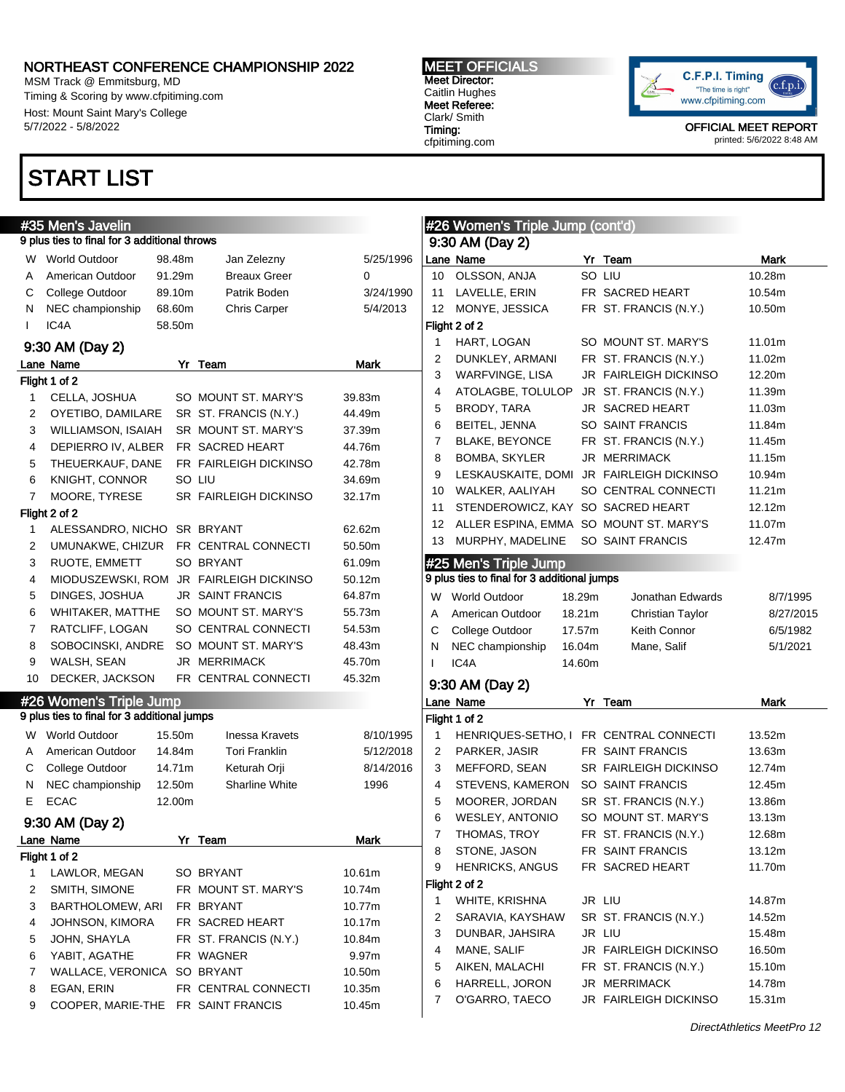MSM Track @ Emmitsburg, MD Timing & Scoring by www.cfpitiming.com Host: Mount Saint Mary's College 5/7/2022 - 5/8/2022

### START LIST

#### #35 Men's Javelin 9 plus ties to final for 3 additional throws W World Outdoor 98.48m Jan Zelezny 5/25/1996 A American Outdoor 91.29m Breaux Greer 0 C College Outdoor 89.10m Patrik Boden 3/24/1990 N NEC championship 68.60m Chris Carper 5/4/2013 I IC4A 58.50m 9:30 AM (Day 2) Lane Name **Mark** Yr Team **Mark** Mark Flight 1 of 2 1 CELLA, JOSHUA SO MOUNT ST. MARY'S 39.83m 2 OYETIBO, DAMILARE SR ST. FRANCIS (N.Y.) 44.49m 3 WILLIAMSON, ISAIAH SR MOUNT ST. MARY'S 37.39m 4 DEPIERRO IV, ALBER FR SACRED HEART 44.76m 5 THEUERKAUF, DANE FR FAIRLEIGH DICKINSO 42.78m 6 KNIGHT, CONNOR SO LIU 34.69m 7 MOORE, TYRESE SR FAIRLEIGH DICKINSO 32.17m Flight 2 of 2 1 ALESSANDRO, NICHO SR BRYANT 62.62m 2 UMUNAKWE, CHIZUR FR CENTRAL CONNECTI 50.50m 3 RUOTE, EMMETT SO BRYANT 61.09m 4 MIODUSZEWSKI, ROM JR FAIRLEIGH DICKINSO 50.12m 5 DINGES, JOSHUA JR SAINT FRANCIS 64.87m 6 WHITAKER, MATTHE SO MOUNT ST. MARY'S 55.73m 7 RATCLIFF, LOGAN SO CENTRAL CONNECTI 54.53m 8 SOBOCINSKI, ANDRE SO MOUNT ST. MARY'S 48.43m 9 WALSH, SEAN JR MERRIMACK 45.70m 10 DECKER, JACKSON FR CENTRAL CONNECTI 45.32m #26 Women's Triple Jump 9 plus ties to final for 3 additional jumps W World Outdoor 15.50m Inessa Kravets 8/10/1995 A American Outdoor 14.84m Tori Franklin 5/12/2018 C College Outdoor 14.71m Keturah Orji 8/14/2016 N NEC championship 12.50m Sharline White 1996 E ECAC 12.00m 9:30 AM (Day 2) Lane Name **Yr** Team **Mark** Flight 1 of 2 1 LAWLOR, MEGAN SO BRYANT 10.61m 2 SMITH, SIMONE FR MOUNT ST. MARY'S 10.74m 3 BARTHOLOMEW, ARI FR BRYANT 10.77m 4 JOHNSON, KIMORA FR SACRED HEART 10.17m 5 JOHN, SHAYLA FR ST. FRANCIS (N.Y.) 10.84m 6 YABIT, AGATHE FR WAGNER 9.97m 7 WALLACE, VERONICA SO BRYANT 10.50m 8 EGAN, ERIN FR CENTRAL CONNECTI 10.35m 9 COOPER, MARIE-THE FR SAINT FRANCIS 10.45m O'GARRO, TAECO JR FAIRLEIGH DICKINSO 15.31m

MEET OFFICIALS Meet Director: Caitlin Hughes Meet Referee: Clark/ Smith Timing: cfpitiming.com



|    | #26 Women's Triple Jump (cont'd)            |        |                       |             |
|----|---------------------------------------------|--------|-----------------------|-------------|
|    | 9:30 AM (Day 2)                             |        |                       |             |
|    | Lane Name                                   |        | Yr Team               | Mark        |
| 10 | OLSSON, ANJA                                |        | SO LIU                | 10.28m      |
|    | 11 LAVELLE, ERIN                            |        | FR SACRED HEART       | 10.54m      |
| 12 | MONYE, JESSICA                              |        | FR ST. FRANCIS (N.Y.) | 10.50m      |
|    | Flight 2 of 2                               |        |                       |             |
| 1  | HART, LOGAN                                 |        | SO MOUNT ST. MARY'S   | 11.01m      |
| 2  | DUNKLEY, ARMANI                             |        | FR ST. FRANCIS (N.Y.) | 11.02m      |
| 3  | WARFVINGE, LISA                             |        | JR FAIRLEIGH DICKINSO | 12.20m      |
| 4  | ATOLAGBE, TOLULOP                           |        | JR ST. FRANCIS (N.Y.) | 11.39m      |
| 5  | BRODY, TARA                                 |        | JR SACRED HEART       | 11.03m      |
| 6  | BEITEL, JENNA                               |        | SO SAINT FRANCIS      | 11.84m      |
| 7  | <b>BLAKE, BEYONCE</b>                       |        | FR ST. FRANCIS (N.Y.) | 11.45m      |
| 8  | BOMBA, SKYLER                               |        | JR MERRIMACK          | 11.15m      |
| 9  | LESKAUSKAITE, DOMI JR FAIRLEIGH DICKINSO    |        |                       | 10.94m      |
| 10 | WALKER, AALIYAH                             |        | SO CENTRAL CONNECTI   |             |
|    | STENDEROWICZ, KAY SO SACRED HEART           |        |                       | 11.21m      |
| 11 |                                             |        |                       | 12.12m      |
| 12 | ALLER ESPINA, EMMA SO MOUNT ST. MARY'S      |        |                       | 11.07m      |
| 13 | MURPHY, MADELINE                            |        | SO SAINT FRANCIS      | 12.47m      |
|    | #25 Men's Triple Jump                       |        |                       |             |
|    | 9 plus ties to final for 3 additional jumps |        |                       |             |
| W  | <b>World Outdoor</b>                        | 18.29m | Jonathan Edwards      | 8/7/1995    |
| A  | American Outdoor                            | 18.21m | Christian Taylor      | 8/27/2015   |
| С  | College Outdoor                             | 17.57m | Keith Connor          | 6/5/1982    |
| N  | NEC championship                            | 16.04m | Mane, Salif           | 5/1/2021    |
| L  | IC <sub>4</sub> A                           | 14.60m |                       |             |
|    | 9:30 AM (Day 2)                             |        |                       |             |
|    | Lane Name                                   | Yr     | Team                  | <b>Mark</b> |
|    | Flight 1 of 2                               |        |                       |             |
| 1  | HENRIQUES-SETHO, I FR CENTRAL CONNECTI      |        |                       | 13.52m      |
| 2  | PARKER, JASIR                               |        | FR SAINT FRANCIS      | 13.63m      |
| 3  | MEFFORD, SEAN                               |        | SR FAIRLEIGH DICKINSO | 12.74m      |
| 4  | STEVENS, KAMERON                            |        | SO SAINT FRANCIS      | 12.45m      |
| 5  | MOORER, JORDAN                              |        | SR ST. FRANCIS (N.Y.) | 13.86m      |
| 6  | WESLEY, ANTONIO                             |        | SO MOUNT ST. MARY'S   |             |
|    | THOMAS, TROY                                |        |                       | 13.13m      |
| 7  |                                             |        | FR ST. FRANCIS (N.Y.) | 12.68m      |
| 8  | STONE, JASON                                |        | FR SAINT FRANCIS      | 13.12m      |
| 9  | <b>HENRICKS, ANGUS</b>                      |        | FR SACRED HEART       | 11.70m      |
|    | Flight 2 of 2                               |        |                       |             |
| 1  | WHITE, KRISHNA                              |        | JR LIU                | 14.87m      |
| 2  | SARAVIA, KAYSHAW                            |        | SR ST. FRANCIS (N.Y.) | 14.52m      |
| 3  | DUNBAR, JAHSIRA                             |        | JR LIU                | 15.48m      |
| 4  | MANE, SALIF                                 |        | JR FAIRLEIGH DICKINSO | 16.50m      |
| 5  | AIKEN, MALACHI                              |        | FR ST. FRANCIS (N.Y.) | 15.10m      |
| 6  | HARRELL, JORON                              |        | JR MERRIMACK          | 14.78m      |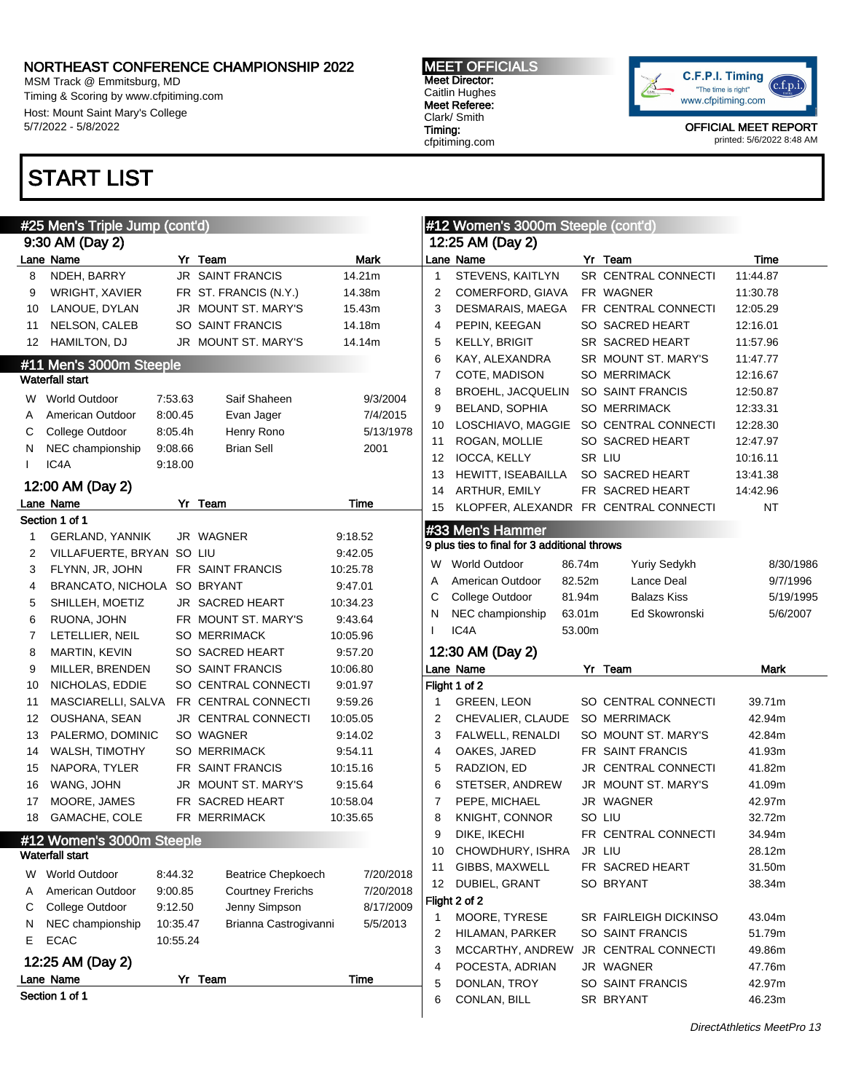MSM Track @ Emmitsburg, MD Timing & Scoring by www.cfpitiming.com Host: Mount Saint Mary's College 5/7/2022 - 5/8/2022

# START LIST

| #25 Men's Triple Jump (cont'd) |                             |          |                            |           |                | #12 Women's 3000m Steeple (cont'd)           |        |                            |             |  |
|--------------------------------|-----------------------------|----------|----------------------------|-----------|----------------|----------------------------------------------|--------|----------------------------|-------------|--|
|                                | 9:30 AM (Day 2)             |          |                            |           |                | 12:25 AM (Day 2)                             |        |                            |             |  |
|                                | Lane Name                   |          | Yr Team                    | Mark      |                | Lane Name                                    |        | Yr Team                    | Time        |  |
| 8                              | NDEH, BARRY                 |          | <b>JR SAINT FRANCIS</b>    | 14.21m    | $\mathbf{1}$   | STEVENS, KAITLYN                             |        | SR CENTRAL CONNECTI        | 11:44.87    |  |
| 9                              | WRIGHT, XAVIER              |          | FR ST. FRANCIS (N.Y.)      | 14.38m    | 2              | COMERFORD, GIAVA                             |        | FR WAGNER                  | 11:30.78    |  |
| 10                             | LANOUE, DYLAN               |          | JR MOUNT ST. MARY'S        | 15.43m    | 3              | DESMARAIS, MAEGA                             |        | FR CENTRAL CONNECTI        | 12:05.29    |  |
| 11                             | NELSON, CALEB               |          | SO SAINT FRANCIS           | 14.18m    | 4              | PEPIN, KEEGAN                                |        | SO SACRED HEART            | 12:16.01    |  |
| 12                             | <b>HAMILTON, DJ</b>         |          | JR MOUNT ST. MARY'S        | 14.14m    | 5              | KELLY, BRIGIT                                |        | SR SACRED HEART            | 11:57.96    |  |
|                                | #11 Men's 3000m Steeple     |          |                            |           | 6              | KAY, ALEXANDRA                               |        | SR MOUNT ST. MARY'S        | 11:47.77    |  |
|                                | <b>Waterfall start</b>      |          |                            |           | $\overline{7}$ | COTE, MADISON                                |        | <b>SO MERRIMACK</b>        | 12:16.67    |  |
|                                | W World Outdoor             | 7:53.63  | Saif Shaheen               | 9/3/2004  | 8              | <b>BROEHL, JACQUELIN</b>                     |        | SO SAINT FRANCIS           | 12:50.87    |  |
| A                              | American Outdoor            | 8:00.45  | Evan Jager                 | 7/4/2015  | 9              | <b>BELAND, SOPHIA</b>                        |        | <b>SO MERRIMACK</b>        | 12:33.31    |  |
| С                              | College Outdoor             | 8:05.4h  | Henry Rono                 | 5/13/1978 | 10             | LOSCHIAVO, MAGGIE SO CENTRAL CONNECTI        |        |                            | 12:28.30    |  |
| N                              | NEC championship            | 9:08.66  | <b>Brian Sell</b>          | 2001      | 11             | ROGAN, MOLLIE                                |        | SO SACRED HEART            | 12:47.97    |  |
| $\mathbf{I}$                   | IC4A                        | 9:18.00  |                            |           | 12             | IOCCA, KELLY                                 |        | SR LIU                     | 10:16.11    |  |
|                                |                             |          |                            |           | 13             | HEWITT, ISEABAILLA                           |        | SO SACRED HEART            | 13:41.38    |  |
|                                | 12:00 AM (Day 2)            |          |                            |           | 14             | ARTHUR, EMILY                                |        | FR SACRED HEART            | 14:42.96    |  |
|                                | Lane Name                   |          | Yr Team                    | Time      | 15             | KLOPFER, ALEXANDR FR CENTRAL CONNECTI        |        |                            | NT          |  |
|                                | Section 1 of 1              |          |                            |           |                | #33 Men's Hammer                             |        |                            |             |  |
| 1                              | GERLAND, YANNIK             |          | JR WAGNER                  | 9:18.52   |                | 9 plus ties to final for 3 additional throws |        |                            |             |  |
| 2                              | VILLAFUERTE, BRYAN SO LIU   |          |                            | 9:42.05   | W              | <b>World Outdoor</b>                         | 86.74m | Yuriy Sedykh               | 8/30/1986   |  |
| 3                              | FLYNN, JR, JOHN             |          | FR SAINT FRANCIS           | 10:25.78  | A              | American Outdoor                             | 82.52m | Lance Deal                 | 9/7/1996    |  |
| 4                              | BRANCATO, NICHOLA SO BRYANT |          |                            | 9:47.01   | С              | College Outdoor                              | 81.94m | <b>Balazs Kiss</b>         | 5/19/1995   |  |
| 5                              | SHILLEH, MOETIZ             |          | JR SACRED HEART            | 10:34.23  | N              | NEC championship                             | 63.01m | Ed Skowronski              | 5/6/2007    |  |
| 6                              | RUONA, JOHN                 |          | FR MOUNT ST. MARY'S        | 9:43.64   |                | IC4A                                         | 53.00m |                            |             |  |
| 7                              | LETELLIER, NEIL             |          | <b>SO MERRIMACK</b>        | 10:05.96  |                |                                              |        |                            |             |  |
| 8                              | MARTIN, KEVIN               |          | SO SACRED HEART            | 9:57.20   |                | 12:30 AM (Day 2)                             |        |                            |             |  |
| 9                              | MILLER, BRENDEN             |          | SO SAINT FRANCIS           | 10:06.80  |                | Lane Name                                    |        | Yr Team                    | <b>Mark</b> |  |
| 10                             | NICHOLAS, EDDIE             |          | SO CENTRAL CONNECTI        | 9:01.97   |                | Flight 1 of 2                                |        |                            |             |  |
| 11                             | MASCIARELLI, SALVA          |          | FR CENTRAL CONNECTI        | 9:59.26   | 1              | <b>GREEN, LEON</b>                           |        | SO CENTRAL CONNECTI        | 39.71m      |  |
| 12                             | OUSHANA, SEAN               |          | <b>JR CENTRAL CONNECTI</b> | 10:05.05  | 2              | CHEVALIER, CLAUDE                            |        | <b>SO MERRIMACK</b>        | 42.94m      |  |
| 13                             | PALERMO, DOMINIC            |          | SO WAGNER                  | 9:14.02   | 3              | FALWELL, RENALDI                             |        | SO MOUNT ST. MARY'S        | 42.84m      |  |
| 14                             | WALSH, TIMOTHY              |          | <b>SO MERRIMACK</b>        | 9:54.11   | 4              | OAKES, JARED                                 |        | FR SAINT FRANCIS           | 41.93m      |  |
| 15                             | NAPORA, TYLER               |          | FR SAINT FRANCIS           | 10:15.16  | 5              | RADZION, ED                                  |        | <b>JR CENTRAL CONNECTI</b> | 41.82m      |  |
| 16                             | WANG, JOHN                  |          | JR MOUNT ST. MARY'S        | 9:15.64   | 6              | STETSER, ANDREW                              |        | JR MOUNT ST. MARY'S        | 41.09m      |  |
| 17                             | MOORE, JAMES                |          | FR SACRED HEART            | 10:58.04  | 7              | PEPE, MICHAEL                                |        | JR WAGNER                  | 42.97m      |  |
| 18                             | GAMACHE, COLE               |          | FR MERRIMACK               | 10:35.65  | 8              | KNIGHT, CONNOR                               |        | SO LIU                     | 32.72m      |  |
|                                | #12 Women's 3000m Steeple   |          |                            |           | 9              | DIKE, IKECHI                                 |        | FR CENTRAL CONNECTI        | 34.94m      |  |
|                                | <b>Waterfall start</b>      |          |                            |           | 10             | CHOWDHURY, ISHRA                             |        | JR LIU                     | 28.12m      |  |
| W                              | World Outdoor               | 8:44.32  | <b>Beatrice Chepkoech</b>  | 7/20/2018 | 11             | GIBBS, MAXWELL                               |        | FR SACRED HEART            | 31.50m      |  |
| Α                              | American Outdoor            | 9:00.85  | <b>Courtney Frerichs</b>   | 7/20/2018 | 12             | DUBIEL, GRANT                                |        | SO BRYANT                  | 38.34m      |  |
| С                              | College Outdoor             | 9:12.50  | Jenny Simpson              | 8/17/2009 |                | Flight 2 of 2                                |        |                            |             |  |
| N                              | NEC championship            | 10:35.47 | Brianna Castrogivanni      | 5/5/2013  | 1              | MOORE, TYRESE                                |        | SR FAIRLEIGH DICKINSO      | 43.04m      |  |
| E.                             | <b>ECAC</b>                 | 10:55.24 |                            |           | 2              | HILAMAN, PARKER                              |        | SO SAINT FRANCIS           | 51.79m      |  |
|                                | 12:25 AM (Day 2)            |          |                            |           | 3              | MCCARTHY, ANDREW                             |        | <b>JR CENTRAL CONNECTI</b> | 49.86m      |  |
|                                |                             |          |                            |           | 4              | POCESTA, ADRIAN                              |        | JR WAGNER                  | 47.76m      |  |
|                                | Lane Name<br>Section 1 of 1 |          | Yr Team                    | Time      | 5              | DONLAN, TROY                                 |        | SO SAINT FRANCIS           | 42.97m      |  |
|                                |                             |          |                            |           | 6              | CONLAN, BILL                                 |        | SR BRYANT                  | 46.23m      |  |



MEET OFFICIALS Meet Director: Caitlin Hughes Meet Referee: Clark/ Smith Timing: cfpitiming.com

www.cfpitiming.com OFFICIAL MEET REPORT

C.F.P.I. Timing

"The time is right"

printed: 5/6/2022 8:48 AM

 $(c.f.p.i.$ 

DirectAthletics MeetPro 13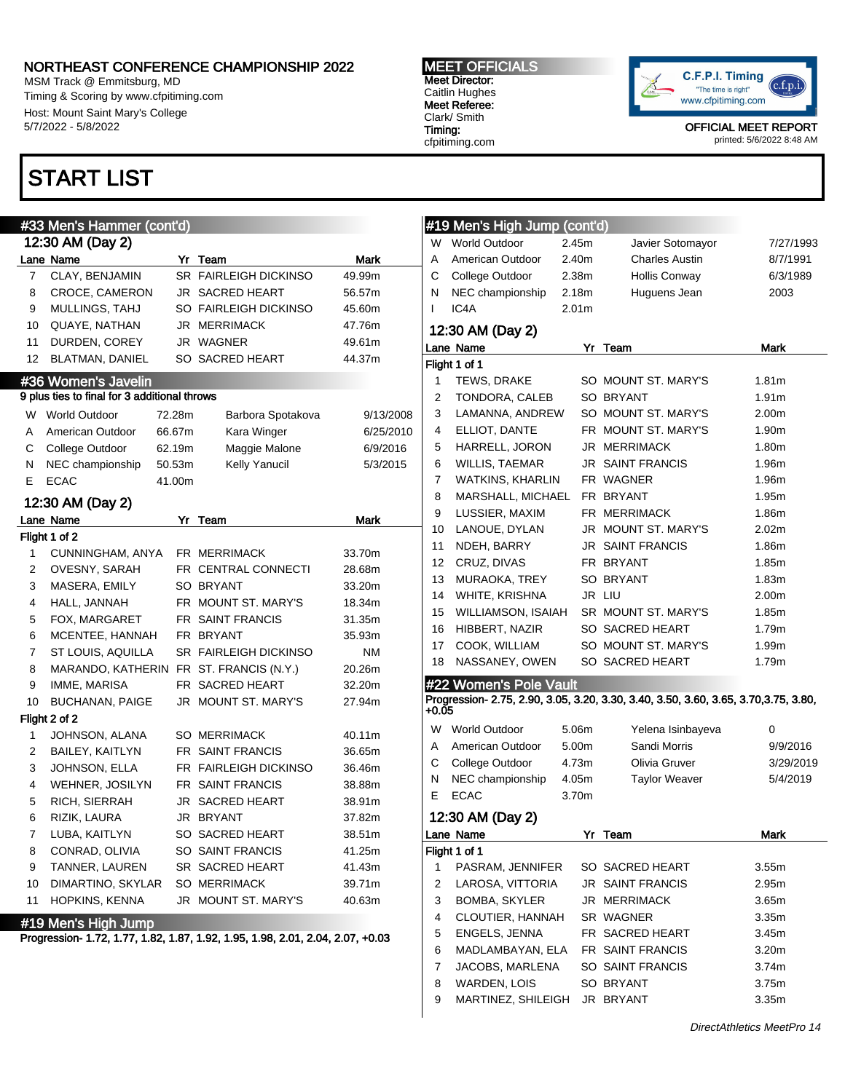MSM Track @ Emmitsburg, MD Timing & Scoring by www.cfpitiming.com Host: Mount Saint Mary's College 5/7/2022 - 5/8/2022

### START LIST

### #33 Men's Hammer (cont'd) 12:30 AM (Day 2) Lane Name **Mark** Yr Team **Mark** Mark 7 CLAY, BENJAMIN SR FAIRLEIGH DICKINSO 49.99m 8 CROCE, CAMERON JR SACRED HEART 56.57m 9 MULLINGS, TAHJ SO FAIRLEIGH DICKINSO 45.60m 10 QUAYE, NATHAN JR MERRIMACK 47.76m 11 DURDEN, COREY JR WAGNER 49.61m 12 BLATMAN, DANIEL SO SACRED HEART 44.37m #36 Women's Javelin 9 plus ties to final for 3 additional throws W World Outdoor 72.28m Barbora Spotakova 9/13/2008 A American Outdoor 66.67m Kara Winger 6/25/2010

| С              | College Outdoor        | 62.19m | Maggie Malone                           | 6/9/2016    |
|----------------|------------------------|--------|-----------------------------------------|-------------|
| N              | NEC championship       | 50.53m | Kelly Yanucil                           | 5/3/2015    |
| Е              | <b>ECAC</b>            | 41.00m |                                         |             |
|                | 12:30 AM (Day 2)       |        |                                         |             |
|                | Lane Name              | Yr     | Team                                    | <b>Mark</b> |
|                | Flight 1 of 2          |        |                                         |             |
| 1              | CUNNINGHAM, ANYA       |        | <b>FR MERRIMACK</b>                     | 33.70m      |
| 2              | OVESNY, SARAH          |        | FR CENTRAL CONNECTI                     | 28.68m      |
| 3              | MASERA, EMILY          |        | SO BRYANT                               | 33.20m      |
| 4              | HALL, JANNAH           |        | FR MOUNT ST. MARY'S                     | 18.34m      |
| 5              | FOX, MARGARET          |        | FR SAINT FRANCIS                        | 31.35m      |
| 6              | MCENTEE, HANNAH        |        | FR BRYANT                               | 35.93m      |
| $\overline{7}$ | ST LOUIS, AQUILLA      |        | <b>SR FAIRLEIGH DICKINSO</b>            | <b>NM</b>   |
| 8              |                        |        | MARANDO, KATHERIN FR ST. FRANCIS (N.Y.) | 20.26m      |
| 9              | IMME, MARISA           |        | FR SACRED HEART                         | 32.20m      |
| 10             | <b>BUCHANAN, PAIGE</b> |        | JR MOUNT ST. MARY'S                     | 27.94m      |
|                | Flight 2 of 2          |        |                                         |             |
| 1              | JOHNSON, ALANA         |        | <b>SO MERRIMACK</b>                     | 40.11m      |
| $\overline{2}$ | BAILEY, KAITLYN        |        | FR SAINT FRANCIS                        | 36.65m      |
| 3              | JOHNSON, ELLA          |        | FR FAIRLEIGH DICKINSO                   | 36.46m      |
| 4              | WEHNER, JOSILYN        |        | FR SAINT FRANCIS                        | 38.88m      |
| 5              | RICH, SIERRAH          |        | <b>JR SACRED HEART</b>                  | 38.91m      |
| 6              | RIZIK, LAURA           |        | JR BRYANT                               | 37.82m      |
| 7              | LUBA, KAITLYN          |        | SO SACRED HEART                         | 38.51m      |
| 8              | CONRAD, OLIVIA         |        | SO SAINT FRANCIS                        | 41.25m      |
| 9              | TANNER, LAUREN         |        | SR SACRED HEART                         | 41.43m      |
| 10             | DIMARTINO, SKYLAR      |        | <b>SO MERRIMACK</b>                     | 39.71m      |
| 11             | HOPKINS, KENNA         |        | JR MOUNT ST. MARY'S                     | 40.63m      |
|                | #19 Men's High Jump    |        |                                         |             |

Progression- 1.72, 1.77, 1.82, 1.87, 1.92, 1.95, 1.98, 2.01, 2.04, 2.07, +0.03

MEET OFFICIALS Meet Director: Caitlin Hughes Meet Referee: Clark/ Smith Timing:

cfpitiming.com



OFFICIAL MEET REPORT

printed: 5/6/2022 8:48 AM

|       | #19 Men's High Jump (cont'd) |                   |  |                                                                                      |                   |  |  |  |  |  |
|-------|------------------------------|-------------------|--|--------------------------------------------------------------------------------------|-------------------|--|--|--|--|--|
| W     | <b>World Outdoor</b>         | 2.45m             |  | Javier Sotomayor                                                                     | 7/27/1993         |  |  |  |  |  |
| A     | American Outdoor<br>2.40m    |                   |  | <b>Charles Austin</b>                                                                | 8/7/1991          |  |  |  |  |  |
| С     | College Outdoor<br>2.38m     |                   |  | <b>Hollis Conwav</b>                                                                 | 6/3/1989          |  |  |  |  |  |
| N     | NEC championship<br>2.18m    |                   |  | Huguens Jean                                                                         | 2003              |  |  |  |  |  |
| L     | IC4A                         | 2.01 <sub>m</sub> |  |                                                                                      |                   |  |  |  |  |  |
|       | 12:30 AM (Day 2)             |                   |  |                                                                                      |                   |  |  |  |  |  |
|       | Lane Name                    |                   |  | Yr Team                                                                              | Mark              |  |  |  |  |  |
|       | Flight 1 of 1                |                   |  |                                                                                      |                   |  |  |  |  |  |
| 1     | TEWS, DRAKE                  |                   |  | SO MOUNT ST. MARY'S                                                                  | 1.81m             |  |  |  |  |  |
| 2     | TONDORA, CALEB               |                   |  | SO BRYANT                                                                            | 1.91m             |  |  |  |  |  |
| 3     | LAMANNA, ANDREW              |                   |  | SO MOUNT ST. MARY'S                                                                  | 2.00m             |  |  |  |  |  |
| 4     | ELLIOT, DANTE                |                   |  | FR MOUNT ST. MARY'S                                                                  | 1.90m             |  |  |  |  |  |
| 5     | HARRELL, JORON               |                   |  | JR MERRIMACK                                                                         | 1.80m             |  |  |  |  |  |
| 6     | WILLIS, TAEMAR               |                   |  | JR SAINT FRANCIS                                                                     | 1.96m             |  |  |  |  |  |
| 7     | <b>WATKINS, KHARLIN</b>      |                   |  | FR WAGNER                                                                            | 1.96m             |  |  |  |  |  |
| 8     | MARSHALL, MICHAEL            |                   |  | FR BRYANT                                                                            | 1.95m             |  |  |  |  |  |
| 9     | LUSSIER, MAXIM               |                   |  | FR MERRIMACK                                                                         | 1.86m             |  |  |  |  |  |
| 10    | LANOUE, DYLAN                |                   |  | JR MOUNT ST. MARY'S                                                                  | 2.02 <sub>m</sub> |  |  |  |  |  |
| 11    | NDEH, BARRY                  |                   |  | <b>JR SAINT FRANCIS</b>                                                              | 1.86m             |  |  |  |  |  |
| 12    | CRUZ, DIVAS                  |                   |  | FR BRYANT                                                                            | 1.85m             |  |  |  |  |  |
| 13    | MURAOKA, TREY                |                   |  | <b>SO BRYANT</b>                                                                     | 1.83m             |  |  |  |  |  |
| 14    | WHITE, KRISHNA               |                   |  | JR LIU                                                                               | 2.00m             |  |  |  |  |  |
| 15    | WILLIAMSON, ISAIAH           |                   |  | SR MOUNT ST. MARY'S                                                                  | 1.85m             |  |  |  |  |  |
| 16    | HIBBERT, NAZIR               |                   |  | SO SACRED HEART                                                                      | 1.79m             |  |  |  |  |  |
| 17    | COOK, WILLIAM                |                   |  | SO MOUNT ST. MARY'S                                                                  | 1.99m             |  |  |  |  |  |
| 18    | NASSANEY, OWEN               |                   |  | SO SACRED HEART                                                                      | 1.79m             |  |  |  |  |  |
|       | #22 Women's Pole Vault       |                   |  |                                                                                      |                   |  |  |  |  |  |
| +0.05 |                              |                   |  | Progression- 2.75, 2.90, 3.05, 3.20, 3.30, 3.40, 3.50, 3.60, 3.65, 3.70, 3.75, 3.80, |                   |  |  |  |  |  |
| W     | <b>World Outdoor</b>         | 5.06m             |  | Yelena Isinbayeva                                                                    | 0                 |  |  |  |  |  |
| Α     | American Outdoor             | 5.00m             |  | Sandi Morris                                                                         | 9/9/2016          |  |  |  |  |  |
| С     | College Outdoor              | 4.73m             |  | Olivia Gruver                                                                        | 3/29/2019         |  |  |  |  |  |
| Ν     | NEC championship             | 4.05m             |  | <b>Taylor Weaver</b>                                                                 | 5/4/2019          |  |  |  |  |  |
| E     | <b>ECAC</b>                  | 3.70m             |  |                                                                                      |                   |  |  |  |  |  |
|       | 12:30 AM (Day 2)             |                   |  |                                                                                      |                   |  |  |  |  |  |
|       | Lane Name                    |                   |  | Yr Team                                                                              | Mark              |  |  |  |  |  |
|       | Flight 1 of 1                |                   |  |                                                                                      |                   |  |  |  |  |  |
| 1     | PASRAM, JENNIFER             |                   |  | SO SACRED HEART                                                                      | 3.55m             |  |  |  |  |  |
| 2     | LAROSA, VITTORIA             |                   |  | JR SAINT FRANCIS                                                                     | 2.95m             |  |  |  |  |  |
| 3     | <b>BOMBA, SKYLER</b>         |                   |  | JR MERRIMACK                                                                         | 3.65m             |  |  |  |  |  |
| 4     | CLOUTIER, HANNAH             |                   |  | SR WAGNER                                                                            | 3.35m             |  |  |  |  |  |
| 5     | ENGELS, JENNA                |                   |  | FR SACRED HEART                                                                      | 3.45m             |  |  |  |  |  |
| 6     | MADLAMBAYAN, ELA             |                   |  | FR SAINT FRANCIS                                                                     | 3.20 <sub>m</sub> |  |  |  |  |  |
| 7     | JACOBS, MARLENA              |                   |  | SO SAINT FRANCIS                                                                     | 3.74m             |  |  |  |  |  |
| 8     | WARDEN, LOIS                 |                   |  | SO BRYANT                                                                            | 3.75m             |  |  |  |  |  |
| 9     | MARTINEZ, SHILEIGH           |                   |  | JR BRYANT                                                                            | 3.35m             |  |  |  |  |  |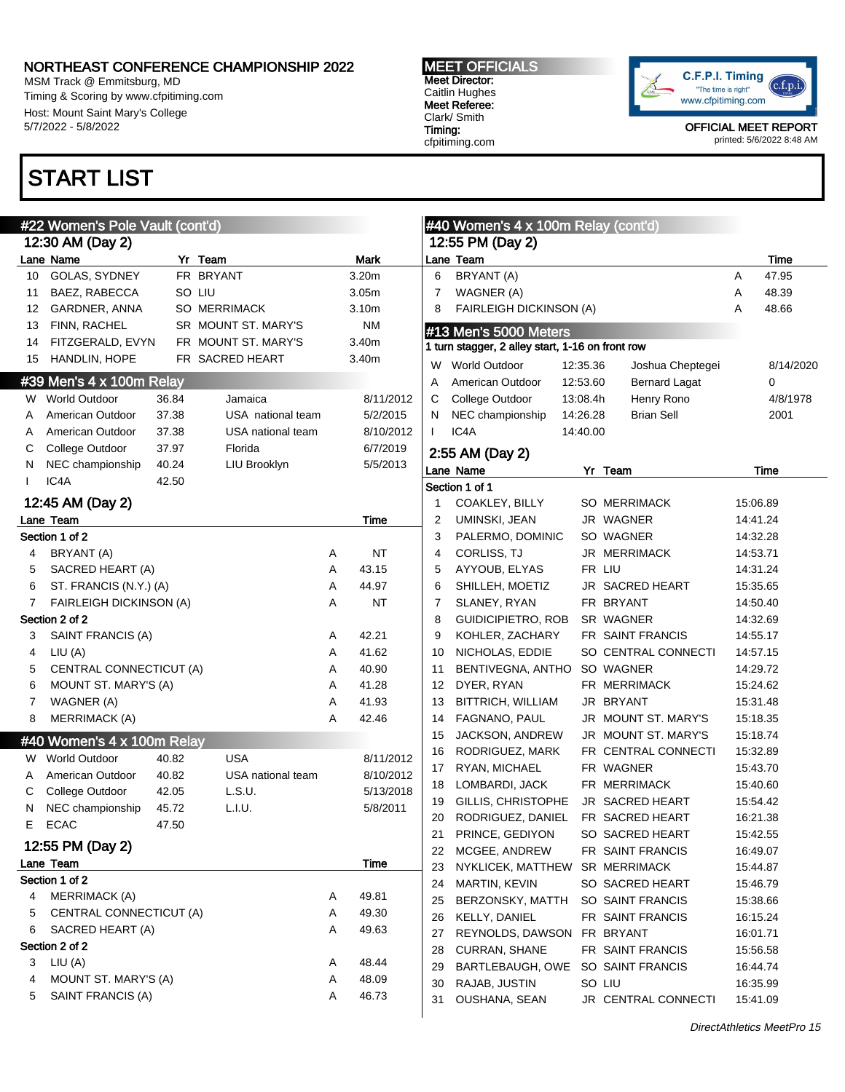MSM Track @ Emmitsburg, MD Timing & Scoring by www.cfpitiming.com Host: Mount Saint Mary's College 5/7/2022 - 5/8/2022

# START LIST

### #22 Women's Pole Vault (cont'd) 12:30 AM (Day 2) Lane Name **Mark** Yr Team **Mark** Mark 10 GOLAS, SYDNEY FR BRYANT 3.20m 11 BAEZ, RABECCA SO LIU 3.05m 12 GARDNER, ANNA SO MERRIMACK 3.10m 13 FINN, RACHEL SR MOUNT ST. MARY'S NM 14 FITZGERALD, EVYN FR MOUNT ST. MARY'S 3.40m 15 HANDLIN, HOPE FR SACRED HEART 3.40m #39 Men's 4 x 100m Relay W World Outdoor 36.84 Jamaica 8/11/2012

| A  | American Outdoor | 37.38 | USA national team | 5/2/2015  |
|----|------------------|-------|-------------------|-----------|
|    | American Outdoor | 37.38 | USA national team | 8/10/2012 |
| C. | College Outdoor  | 37.97 | Florida           | 6/7/2019  |
| N. | NEC championship | 40.24 | LIU Brooklyn      | 5/5/2013  |
|    | IC4A             | 42.50 |                   |           |
|    |                  |       |                   |           |

#### 12:45 AM (Day 2) Lane Team Time Section 1 of 2 4 BRYANT (A) A NT 5 SACRED HEART (A) A 43.15 6 ST. FRANCIS (N.Y.) (A) A 44.97 7 FAIRLEIGH DICKINSON (A) A NT Section 2 of 2 3 SAINT FRANCIS (A) A 42.21 4 LIU (A) A 41.62 5 CENTRAL CONNECTICUT (A) A 40.90 6 MOUNT ST. MARY'S (A) A 41.28 7 WAGNER (A) A 41.93 8 MERRIMACK (A) A 42.46

### #40 Women's 4 x 100m Relay

|   | W World Outdoor    | 40.82 | USA               | 8/11/2012 |
|---|--------------------|-------|-------------------|-----------|
| A | American Outdoor   | 40.82 | USA national team | 8/10/2012 |
|   | C College Outdoor  | 42.05 | L.S.U.            | 5/13/2018 |
|   | N NEC championship | 45.72 | L.I.U.            | 5/8/2011  |
|   | E ECAC             | 47.50 |                   |           |

| 12:55 PM (Day 2) |                         |   |       |  |  |  |  |  |
|------------------|-------------------------|---|-------|--|--|--|--|--|
|                  | Lane Team<br>Time       |   |       |  |  |  |  |  |
|                  | Section 1 of 2          |   |       |  |  |  |  |  |
| 4                | MERRIMACK (A)           | A | 49.81 |  |  |  |  |  |
| 5                | CENTRAL CONNECTICUT (A) | A | 49.30 |  |  |  |  |  |
| 6                | SACRED HEART (A)        | A | 49.63 |  |  |  |  |  |
|                  | Section 2 of 2          |   |       |  |  |  |  |  |
| 3                | LIU (A)                 | Α | 48.44 |  |  |  |  |  |
| 4                | MOUNT ST. MARY'S (A)    | A | 48.09 |  |  |  |  |  |
| 5                | SAINT FRANCIS (A)       | Α | 46.73 |  |  |  |  |  |
|                  |                         |   |       |  |  |  |  |  |

MEET OFFICIALS Meet Director: Caitlin Hughes Meet Referee: Clark/ Smith Timing: cfpitiming.com



|    | #40 Women's 4 x 100m Relay (cont'd)              |          |                      |   |             |
|----|--------------------------------------------------|----------|----------------------|---|-------------|
|    | 12:55 PM (Day 2)<br>Lane Team                    |          |                      |   | <b>Time</b> |
| 6  | BRYANT (A)                                       |          |                      | A | 47.95       |
| 7  | WAGNER (A)                                       |          |                      | A | 48.39       |
| 8  | FAIRLEIGH DICKINSON (A)                          |          |                      | A | 48.66       |
|    | #13 Men's 5000 Meters                            |          |                      |   |             |
|    | 1 turn stagger, 2 alley start, 1-16 on front row |          |                      |   |             |
| W  | <b>World Outdoor</b>                             | 12:35.36 | Joshua Cheptegei     |   | 8/14/2020   |
| Α  | American Outdoor                                 | 12:53.60 | <b>Bernard Lagat</b> |   | 0           |
| С  | College Outdoor                                  | 13:08.4h | Henry Rono           |   | 4/8/1978    |
| N  | NEC championship                                 | 14:26.28 | <b>Brian Sell</b>    |   | 2001        |
| L  | IC <sub>4</sub> A                                | 14:40.00 |                      |   |             |
|    | 2:55 AM (Day 2)                                  |          |                      |   |             |
|    | Lane Name                                        |          | Yr Team              |   | Time        |
|    | Section 1 of 1                                   |          |                      |   |             |
| 1  | COAKLEY, BILLY                                   |          | SO MERRIMACK         |   | 15:06.89    |
| 2  | UMINSKI, JEAN                                    |          | JR WAGNER            |   | 14:41.24    |
| 3  | PALERMO, DOMINIC                                 |          | SO WAGNER            |   | 14:32.28    |
| 4  | <b>CORLISS, TJ</b>                               |          | JR MERRIMACK         |   | 14:53.71    |
| 5  | AYYOUB, ELYAS                                    |          | FR LIU               |   | 14:31.24    |
| 6  | SHILLEH, MOETIZ                                  |          | JR SACRED HEART      |   | 15:35.65    |
| 7  | SLANEY, RYAN                                     |          | FR BRYANT            |   | 14:50.40    |
| 8  | <b>GUIDICIPIETRO, ROB</b>                        |          | SR WAGNER            |   | 14:32.69    |
| 9  | KOHLER, ZACHARY                                  |          | FR SAINT FRANCIS     |   | 14:55.17    |
| 10 | NICHOLAS, EDDIE                                  |          | SO CENTRAL CONNECTI  |   | 14:57.15    |
| 11 | BENTIVEGNA, ANTHO                                |          | SO WAGNER            |   | 14:29.72    |
| 12 | DYER, RYAN                                       |          | FR MERRIMACK         |   | 15:24.62    |
| 13 | BITTRICH, WILLIAM                                |          | JR BRYANT            |   | 15:31.48    |
| 14 | FAGNANO, PAUL                                    |          | JR MOUNT ST. MARY'S  |   | 15:18.35    |
| 15 | JACKSON, ANDREW                                  |          | JR MOUNT ST. MARY'S  |   | 15:18.74    |
| 16 | RODRIGUEZ, MARK                                  |          | FR CENTRAL CONNECTI  |   | 15:32.89    |
| 17 | RYAN, MICHAEL                                    |          | FR WAGNER            |   | 15:43.70    |
| 18 | LOMBARDI, JACK                                   |          | FR MERRIMACK         |   | 15:40.60    |
| 19 | GILLIS, CHRISTOPHE                               |          | JR SACRED HEART      |   | 15:54.42    |
| 20 | RODRIGUEZ, DANIEL                                |          | FR SACRED HEART      |   | 16:21.38    |
| 21 | PRINCE, GEDIYON                                  |          | SO SACRED HEART      |   | 15:42.55    |
| 22 | MCGEE, ANDREW                                    |          | FR SAINT FRANCIS     |   | 16:49.07    |
| 23 | NYKLICEK, MATTHEW                                |          | SR MERRIMACK         |   | 15:44.87    |
| 24 | MARTIN, KEVIN                                    |          | SO SACRED HEART      |   | 15:46.79    |
| 25 | BERZONSKY, MATTH                                 |          | SO SAINT FRANCIS     |   | 15:38.66    |
| 26 | KELLY, DANIEL                                    |          | FR SAINT FRANCIS     |   | 16:15.24    |
| 27 | REYNOLDS, DAWSON                                 |          | FR BRYANT            |   | 16:01.71    |
| 28 | <b>CURRAN, SHANE</b>                             |          | FR SAINT FRANCIS     |   | 15:56.58    |
| 29 | BARTLEBAUGH, OWE                                 |          | SO SAINT FRANCIS     |   | 16:44.74    |
| 30 | RAJAB, JUSTIN                                    |          | SO LIU               |   | 16:35.99    |
| 31 | OUSHANA, SEAN                                    |          | JR CENTRAL CONNECTI  |   | 15:41.09    |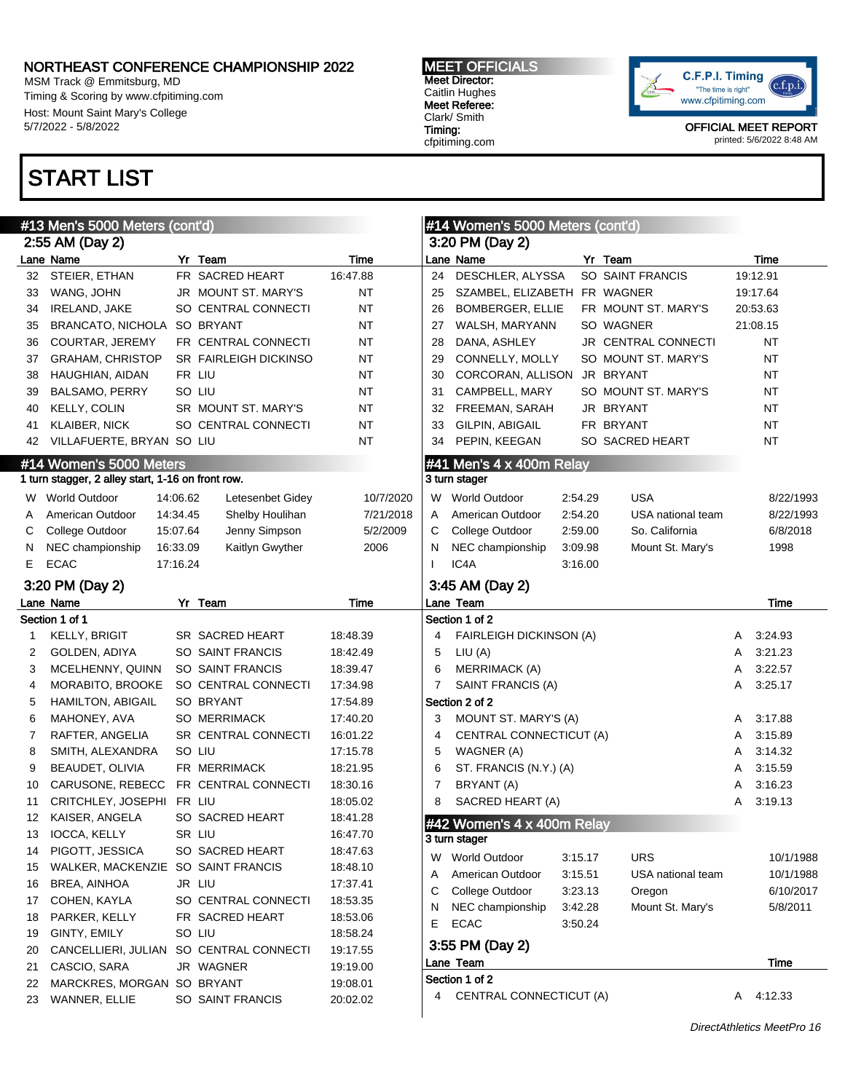MSM Track @ Emmitsburg, MD Timing & Scoring by www.cfpitiming.com Host: Mount Saint Mary's College 5/7/2022 - 5/8/2022

# START LIST

MEET OFFICIALS Meet Director: Caitlin Hughes Meet Referee: Clark/ Smith Timing: cfpitiming.com



|    | #13 Men's 5000 Meters (cont'd)                    |          |                       | #14 Women's 5000 Meters (cont'd) |                 |                                |         |                     |   |           |
|----|---------------------------------------------------|----------|-----------------------|----------------------------------|-----------------|--------------------------------|---------|---------------------|---|-----------|
|    | 2:55 AM (Day 2)                                   |          |                       |                                  | 3:20 PM (Day 2) |                                |         |                     |   |           |
|    | Lane Name                                         |          | Yr Team               | Time                             |                 | Lane Name                      |         | Yr Team             |   | Time      |
| 32 | STEIER, ETHAN                                     |          | FR SACRED HEART       | 16:47.88                         | 24              | DESCHLER, ALYSSA               |         | SO SAINT FRANCIS    |   | 19:12.91  |
| 33 | WANG, JOHN                                        |          | JR MOUNT ST. MARY'S   | <b>NT</b>                        | 25              | SZAMBEL, ELIZABETH FR WAGNER   |         |                     |   | 19:17.64  |
| 34 | IRELAND, JAKE                                     |          | SO CENTRAL CONNECTI   | <b>NT</b>                        | 26              | BOMBERGER, ELLIE               |         | FR MOUNT ST. MARY'S |   | 20:53.63  |
| 35 | BRANCATO, NICHOLA SO BRYANT                       |          |                       | <b>NT</b>                        | 27              | WALSH, MARYANN                 |         | SO WAGNER           |   | 21:08.15  |
| 36 | <b>COURTAR, JEREMY</b>                            |          | FR CENTRAL CONNECTI   | <b>NT</b>                        | 28              | DANA, ASHLEY                   |         | JR CENTRAL CONNECTI |   | NT        |
| 37 | <b>GRAHAM, CHRISTOP</b>                           |          | SR FAIRLEIGH DICKINSO | NT                               | 29              | CONNELLY, MOLLY                |         | SO MOUNT ST. MARY'S |   | NT        |
| 38 | HAUGHIAN, AIDAN                                   |          | FR LIU                | ΝT                               | 30              | CORCORAN, ALLISON              |         | JR BRYANT           |   | NT        |
| 39 | <b>BALSAMO, PERRY</b>                             |          | SO LIU                | ΝT                               | 31              | CAMPBELL, MARY                 |         | SO MOUNT ST. MARY'S |   | NT        |
| 40 | KELLY, COLIN                                      |          | SR MOUNT ST. MARY'S   | <b>NT</b>                        | 32              | FREEMAN, SARAH                 |         | JR BRYANT           |   | NT        |
| 41 | <b>KLAIBER, NICK</b>                              |          | SO CENTRAL CONNECTI   | <b>NT</b>                        | 33              | GILPIN, ABIGAIL                |         | FR BRYANT           |   | NT        |
| 42 | VILLAFUERTE, BRYAN SO LIU                         |          |                       | ΝT                               | 34              | PEPIN, KEEGAN                  |         | SO SACRED HEART     |   | NT        |
|    | #14 Women's 5000 Meters                           |          |                       |                                  |                 | #41 Men's 4 x 400m Relay       |         |                     |   |           |
|    | 1 turn stagger, 2 alley start, 1-16 on front row. |          |                       |                                  |                 | 3 turn stager                  |         |                     |   |           |
| W. | <b>World Outdoor</b>                              | 14:06.62 | Letesenbet Gidey      | 10/7/2020                        |                 | W World Outdoor                | 2:54.29 | <b>USA</b>          |   | 8/22/1993 |
| A  | American Outdoor                                  | 14:34.45 | Shelby Houlihan       | 7/21/2018                        | Α               | American Outdoor               | 2:54.20 | USA national team   |   | 8/22/1993 |
| С  | College Outdoor                                   | 15:07.64 | Jenny Simpson         | 5/2/2009                         | С               | College Outdoor                | 2:59.00 | So. California      |   | 6/8/2018  |
| N  | NEC championship                                  | 16:33.09 | Kaitlyn Gwyther       | 2006                             | N               | NEC championship               | 3:09.98 | Mount St. Mary's    |   | 1998      |
| E. | <b>ECAC</b>                                       | 17:16.24 |                       |                                  | $\mathbf{I}$    | IC4A                           | 3:16.00 |                     |   |           |
|    | 3:20 PM (Day 2)                                   |          |                       |                                  |                 | 3:45 AM (Day 2)                |         |                     |   |           |
|    | Lane Name                                         |          | Yr Team               | Time                             |                 | Lane Team                      |         |                     |   | Time      |
|    | Section 1 of 1                                    |          |                       |                                  |                 | Section 1 of 2                 |         |                     |   |           |
| 1  | <b>KELLY, BRIGIT</b>                              |          | SR SACRED HEART       | 18:48.39                         | 4               | <b>FAIRLEIGH DICKINSON (A)</b> |         |                     | A | 3:24.93   |
| 2  | GOLDEN, ADIYA                                     |          | SO SAINT FRANCIS      | 18:42.49                         | 5               | LIU(A)                         |         |                     | A | 3:21.23   |
| 3  | MCELHENNY, QUINN                                  |          | SO SAINT FRANCIS      | 18:39.47                         | 6               | <b>MERRIMACK (A)</b>           |         |                     | A | 3:22.57   |
| 4  | MORABITO, BROOKE                                  |          | SO CENTRAL CONNECTI   | 17:34.98                         | 7               | SAINT FRANCIS (A)              |         |                     | Α | 3.25.17   |
| 5  | <b>HAMILTON, ABIGAIL</b>                          |          | SO BRYANT             | 17:54.89                         |                 | Section 2 of 2                 |         |                     |   |           |
| 6  | MAHONEY, AVA                                      |          | <b>SO MERRIMACK</b>   | 17:40.20                         | 3               | MOUNT ST. MARY'S (A)           |         |                     | A | 3:17.88   |
| 7  | RAFTER, ANGELIA                                   |          | SR CENTRAL CONNECTI   | 16:01.22                         | 4               | CENTRAL CONNECTICUT (A)        |         |                     | A | 3:15.89   |
| 8  | SMITH, ALEXANDRA                                  |          | SO LIU                | 17:15.78                         | 5               | WAGNER (A)                     |         |                     | A | 3:14.32   |
| 9  | BEAUDET, OLIVIA                                   |          | FR MERRIMACK          | 18:21.95                         | 6               | ST. FRANCIS (N.Y.) (A)         |         |                     | A | 3:15.59   |
| 10 | CARUSONE, REBECC                                  |          | FR CENTRAL CONNECTI   | 18:30.16                         | 7               | BRYANT (A)                     |         |                     | A | 3:16.23   |
| 11 | CRITCHLEY, JOSEPHI                                | FR LIU   |                       | 18:05.02                         | 8               | SACRED HEART (A)               |         |                     | A | 3:19.13   |
| 12 | KAISER, ANGELA                                    |          | SO SACRED HEART       | 18:41.28                         |                 | #42 Women's 4 x 400m Relay     |         |                     |   |           |
| 13 | IOCCA, KELLY                                      |          | SR LIU                | 16:47.70                         |                 | 3 turn stager                  |         |                     |   |           |
| 14 | PIGOTT, JESSICA                                   |          | SO SACRED HEART       | 18:47.63                         | W               | World Outdoor                  | 3:15.17 | <b>URS</b>          |   | 10/1/1988 |
| 15 | WALKER, MACKENZIE SO SAINT FRANCIS                |          |                       | 18:48.10                         | A               | American Outdoor               | 3:15.51 | USA national team   |   | 10/1/1988 |
| 16 | BREA, AINHOA                                      |          | JR LIU                | 17:37.41                         | С               | College Outdoor                | 3:23.13 | Oregon              |   | 6/10/2017 |
| 17 | COHEN, KAYLA                                      |          | SO CENTRAL CONNECTI   | 18:53.35                         | N               | NEC championship               | 3:42.28 | Mount St. Mary's    |   | 5/8/2011  |
| 18 | PARKER, KELLY                                     |          | FR SACRED HEART       | 18:53.06                         | Е               | <b>ECAC</b>                    | 3:50.24 |                     |   |           |
| 19 | GINTY, EMILY                                      |          | SO LIU                | 18:58.24                         |                 |                                |         |                     |   |           |
| 20 | CANCELLIERI, JULIAN SO CENTRAL CONNECTI           |          |                       | 19:17.55                         |                 | 3:55 PM (Day 2)                |         |                     |   |           |
| 21 | CASCIO, SARA                                      |          | JR WAGNER             | 19:19.00                         |                 | Lane Team                      |         |                     |   | Time      |
| 22 | MARCKRES, MORGAN SO BRYANT                        |          |                       | 19:08.01                         |                 | Section 1 of 2                 |         |                     |   |           |
| 23 | WANNER, ELLIE                                     |          | SO SAINT FRANCIS      | 20:02.02                         | 4               | CENTRAL CONNECTICUT (A)        |         |                     |   | A 4:12.33 |
|    |                                                   |          |                       |                                  |                 |                                |         |                     |   |           |